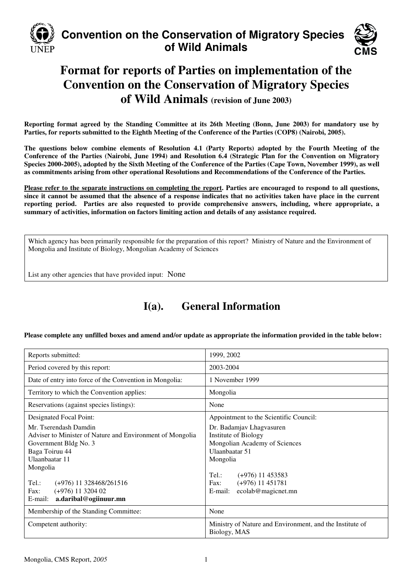

# **Convention on the Conservation of Migratory Species of Wild Animals**



# **Format for reports of Parties on implementation of the Convention on the Conservation of Migratory Species of Wild Animals (revision of June 2003)**

**Reporting format agreed by the Standing Committee at its 26th Meeting (Bonn, June 2003) for mandatory use by Parties, for reports submitted to the Eighth Meeting of the Conference of the Parties (COP8) (Nairobi, 2005).** 

**The questions below combine elements of Resolution 4.1 (Party Reports) adopted by the Fourth Meeting of the Conference of the Parties (Nairobi, June 1994) and Resolution 6.4 (Strategic Plan for the Convention on Migratory Species 2000-2005), adopted by the Sixth Meeting of the Conference of the Parties (Cape Town, November 1999), as well as commitments arising from other operational Resolutions and Recommendations of the Conference of the Parties.** 

**Please refer to the separate instructions on completing the report. Parties are encouraged to respond to all questions, since it cannot be assumed that the absence of a response indicates that no activities taken have place in the current reporting period. Parties are also requested to provide comprehensive answers, including, where appropriate, a summary of activities, information on factors limiting action and details of any assistance required.**

Which agency has been primarily responsible for the preparation of this report? Ministry of Nature and the Environment of Mongolia and Institute of Biology, Mongolian Academy of Sciences

List any other agencies that have provided input: None

# **I(a). General Information**

**Please complete any unfilled boxes and amend and/or update as appropriate the information provided in the table below:** 

| Reports submitted:                                                                                                                                                                                                                                                                              | 1999, 2002                                                                                                                                                                                                                                                     |
|-------------------------------------------------------------------------------------------------------------------------------------------------------------------------------------------------------------------------------------------------------------------------------------------------|----------------------------------------------------------------------------------------------------------------------------------------------------------------------------------------------------------------------------------------------------------------|
| Period covered by this report:                                                                                                                                                                                                                                                                  | 2003-2004                                                                                                                                                                                                                                                      |
| Date of entry into force of the Convention in Mongolia:                                                                                                                                                                                                                                         | 1 November 1999                                                                                                                                                                                                                                                |
| Territory to which the Convention applies:                                                                                                                                                                                                                                                      | Mongolia                                                                                                                                                                                                                                                       |
| Reservations (against species listings):                                                                                                                                                                                                                                                        | None                                                                                                                                                                                                                                                           |
| Designated Focal Point:<br>Mr. Tserendash Damdin<br>Adviser to Minister of Nature and Environment of Mongolia<br>Government Bldg No. 3<br>Baga Toiruu 44<br>Ulaanbaatar 11<br>Mongolia<br>Tel.:<br>$(+976)$ 11 328468/261516<br>$(+976)$ 11 3204 02<br>Fax:<br>a.daribal@ogiinuur.mn<br>E-mail: | Appointment to the Scientific Council:<br>Dr. Badamjav Lhagvasuren<br><b>Institute of Biology</b><br>Mongolian Academy of Sciences<br>Ulaanbaatar 51<br>Mongolia<br>Tel.:<br>$(+976)$ 11 453583<br>$(+976)$ 11 451781<br>Fax:<br>E-mail:<br>ecolab@magicnet.mn |
| Membership of the Standing Committee:                                                                                                                                                                                                                                                           | None                                                                                                                                                                                                                                                           |
| Competent authority:                                                                                                                                                                                                                                                                            | Ministry of Nature and Environment, and the Institute of<br>Biology, MAS                                                                                                                                                                                       |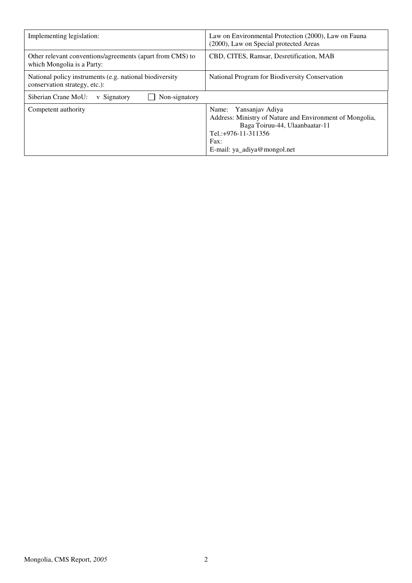| Implementing legislation:                                                                | Law on Environmental Protection (2000), Law on Fauna<br>(2000), Law on Special protected Areas                                                                                     |
|------------------------------------------------------------------------------------------|------------------------------------------------------------------------------------------------------------------------------------------------------------------------------------|
| Other relevant conventions/agreements (apart from CMS) to<br>which Mongolia is a Party:  | CBD, CITES, Ramsar, Desretification, MAB                                                                                                                                           |
| National policy instruments (e.g. national biodiversity<br>conservation strategy, etc.): | National Program for Biodiversity Conservation                                                                                                                                     |
| Non-signatory<br>Siberian Crane MoU:<br>v Signatory                                      |                                                                                                                                                                                    |
| Competent authority                                                                      | Name: Yansanjay Adiya<br>Address: Ministry of Nature and Environment of Mongolia,<br>Baga Toiruu-44, Ulaanbaatar-11<br>Tel.: +976-11-311356<br>Fax:<br>E-mail: ya_adiya@mongol.net |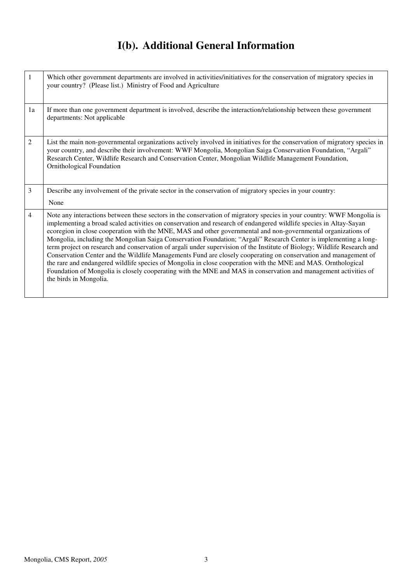# **I(b). Additional General Information**

| $\mathbf{1}$   | Which other government departments are involved in activities/initiatives for the conservation of migratory species in<br>your country? (Please list.) Ministry of Food and Agriculture                                                                                                                                                                                                                                                                                                                                                                                                                                                                                                                                                                                                                                                                                                                                                                                                       |
|----------------|-----------------------------------------------------------------------------------------------------------------------------------------------------------------------------------------------------------------------------------------------------------------------------------------------------------------------------------------------------------------------------------------------------------------------------------------------------------------------------------------------------------------------------------------------------------------------------------------------------------------------------------------------------------------------------------------------------------------------------------------------------------------------------------------------------------------------------------------------------------------------------------------------------------------------------------------------------------------------------------------------|
| 1a             | If more than one government department is involved, describe the interaction/relationship between these government<br>departments: Not applicable                                                                                                                                                                                                                                                                                                                                                                                                                                                                                                                                                                                                                                                                                                                                                                                                                                             |
| 2              | List the main non-governmental organizations actively involved in initiatives for the conservation of migratory species in<br>your country, and describe their involvement: WWF Mongolia, Mongolian Saiga Conservation Foundation, "Argali"<br>Research Center, Wildlife Research and Conservation Center, Mongolian Wildlife Management Foundation,<br><b>Ornithological Foundation</b>                                                                                                                                                                                                                                                                                                                                                                                                                                                                                                                                                                                                      |
| 3              | Describe any involvement of the private sector in the conservation of migratory species in your country:<br>None                                                                                                                                                                                                                                                                                                                                                                                                                                                                                                                                                                                                                                                                                                                                                                                                                                                                              |
| $\overline{4}$ | Note any interactions between these sectors in the conservation of migratory species in your country: WWF Mongolia is<br>implementing a broad scaled activities on conservation and research of endangered wildlife species in Altay-Sayan<br>ecoregion in close cooperation with the MNE, MAS and other governmental and non-governmental organizations of<br>Mongolia, including the Mongolian Saiga Conservation Foundation; "Argali" Research Center is implementing a long-<br>term project on research and conservation of argali under supervision of the Institute of Biology; Wildlife Research and<br>Conservation Center and the Wildlife Managements Fund are closely cooperating on conservation and management of<br>the rare and endangered wildlife species of Mongolia in close cooperation with the MNE and MAS. Ornthological<br>Foundation of Mongolia is closely cooperating with the MNE and MAS in conservation and management activities of<br>the birds in Mongolia. |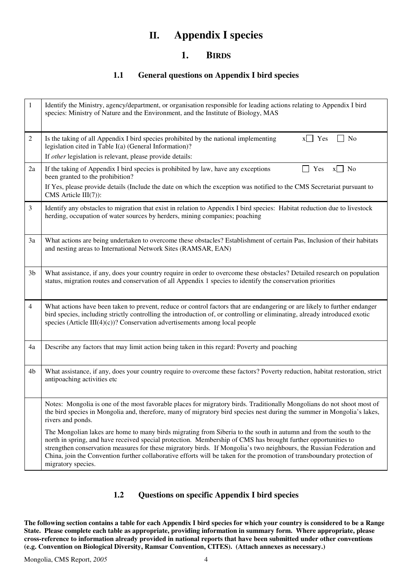# **II. Appendix I species**

## **1. BIRDS**

### **1.1 General questions on Appendix I bird species**

| 1              | Identify the Ministry, agency/department, or organisation responsible for leading actions relating to Appendix I bird<br>species: Ministry of Nature and the Environment, and the Institute of Biology, MAS                                                                                                                                                                                                                                                                                                  |
|----------------|--------------------------------------------------------------------------------------------------------------------------------------------------------------------------------------------------------------------------------------------------------------------------------------------------------------------------------------------------------------------------------------------------------------------------------------------------------------------------------------------------------------|
| 2              | Is the taking of all Appendix I bird species prohibited by the national implementing<br>$x$   Yes<br>No<br>legislation cited in Table I(a) (General Information)?<br>If other legislation is relevant, please provide details:                                                                                                                                                                                                                                                                               |
| 2a             | If the taking of Appendix I bird species is prohibited by law, have any exceptions<br>Yes<br>No<br>X<br>been granted to the prohibition?<br>If Yes, please provide details (Include the date on which the exception was notified to the CMS Secretariat pursuant to<br>CMS Article $III(7)$ :                                                                                                                                                                                                                |
| 3              | Identify any obstacles to migration that exist in relation to Appendix I bird species: Habitat reduction due to livestock<br>herding, occupation of water sources by herders, mining companies; poaching                                                                                                                                                                                                                                                                                                     |
| 3a             | What actions are being undertaken to overcome these obstacles? Establishment of certain Pas, Inclusion of their habitats<br>and nesting areas to International Network Sites (RAMSAR, EAN)                                                                                                                                                                                                                                                                                                                   |
| 3 <sub>b</sub> | What assistance, if any, does your country require in order to overcome these obstacles? Detailed research on population<br>status, migration routes and conservation of all Appendix 1 species to identify the conservation priorities                                                                                                                                                                                                                                                                      |
| 4              | What actions have been taken to prevent, reduce or control factors that are endangering or are likely to further endanger<br>bird species, including strictly controlling the introduction of, or controlling or eliminating, already introduced exotic<br>species (Article III $(4)(c)$ )? Conservation advertisements among local people                                                                                                                                                                   |
| 4a             | Describe any factors that may limit action being taken in this regard: Poverty and poaching                                                                                                                                                                                                                                                                                                                                                                                                                  |
| 4b             | What assistance, if any, does your country require to overcome these factors? Poverty reduction, habitat restoration, strict<br>antipoaching activities etc                                                                                                                                                                                                                                                                                                                                                  |
|                | Notes: Mongolia is one of the most favorable places for migratory birds. Traditionally Mongolians do not shoot most of<br>the bird species in Mongolia and, therefore, many of migratory bird species nest during the summer in Mongolia's lakes,<br>rivers and ponds.                                                                                                                                                                                                                                       |
|                | The Mongolian lakes are home to many birds migrating from Siberia to the south in autumn and from the south to the<br>north in spring, and have received special protection. Membership of CMS has brought further opportunities to<br>strengthen conservation measures for these migratory birds. If Mongolia's two neighbours, the Russian Federation and<br>China, join the Convention further collaborative efforts will be taken for the promotion of transboundary protection of<br>migratory species. |

## **1.2 Questions on specific Appendix I bird species**

**The following section contains a table for each Appendix I bird species for which your country is considered to be a Range State. Please complete each table as appropriate, providing information in summary form. Where appropriate, please cross-reference to information already provided in national reports that have been submitted under other conventions (e.g. Convention on Biological Diversity, Ramsar Convention, CITES). (Attach annexes as necessary.)**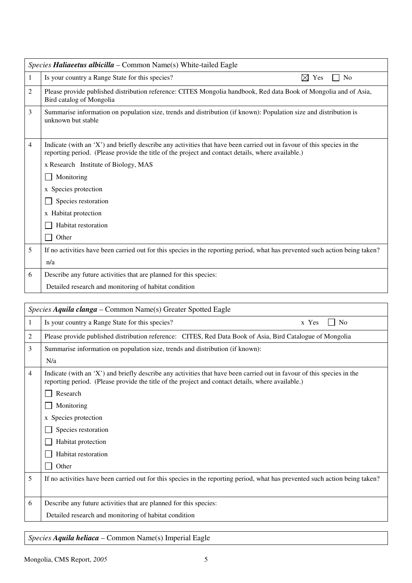|   | Species Haliaeetus albicilla – Common Name(s) White-tailed Eagle                                                                                                                                                            |  |
|---|-----------------------------------------------------------------------------------------------------------------------------------------------------------------------------------------------------------------------------|--|
| 1 | Is your country a Range State for this species?<br>⊠<br><b>No</b><br>Yes                                                                                                                                                    |  |
| 2 | Please provide published distribution reference: CITES Mongolia handbook, Red data Book of Mongolia and of Asia,<br>Bird catalog of Mongolia                                                                                |  |
| 3 | Summarise information on population size, trends and distribution (if known): Population size and distribution is<br>unknown but stable                                                                                     |  |
| 4 | Indicate (with an 'X') and briefly describe any activities that have been carried out in favour of this species in the<br>reporting period. (Please provide the title of the project and contact details, where available.) |  |
|   | x Research Institute of Biology, MAS                                                                                                                                                                                        |  |
|   | Monitoring                                                                                                                                                                                                                  |  |
|   | x Species protection                                                                                                                                                                                                        |  |
|   | Species restoration                                                                                                                                                                                                         |  |
|   | x Habitat protection                                                                                                                                                                                                        |  |
|   | Habitat restoration                                                                                                                                                                                                         |  |
|   | Other                                                                                                                                                                                                                       |  |
| 5 | If no activities have been carried out for this species in the reporting period, what has prevented such action being taken?                                                                                                |  |
|   | n/a                                                                                                                                                                                                                         |  |
| 6 | Describe any future activities that are planned for this species:                                                                                                                                                           |  |
|   | Detailed research and monitoring of habitat condition                                                                                                                                                                       |  |

|   | Species Aquila clanga – Common Name(s) Greater Spotted Eagle                                                                                                                                                                |
|---|-----------------------------------------------------------------------------------------------------------------------------------------------------------------------------------------------------------------------------|
| 1 | Is your country a Range State for this species?<br>x Yes<br>N <sub>0</sub>                                                                                                                                                  |
| 2 | Please provide published distribution reference: CITES, Red Data Book of Asia, Bird Catalogue of Mongolia                                                                                                                   |
| 3 | Summarise information on population size, trends and distribution (if known):                                                                                                                                               |
|   | N/a                                                                                                                                                                                                                         |
| 4 | Indicate (with an 'X') and briefly describe any activities that have been carried out in favour of this species in the<br>reporting period. (Please provide the title of the project and contact details, where available.) |
|   | Research                                                                                                                                                                                                                    |
|   | Monitoring                                                                                                                                                                                                                  |
|   | x Species protection                                                                                                                                                                                                        |
|   | Species restoration                                                                                                                                                                                                         |
|   | Habitat protection                                                                                                                                                                                                          |
|   | Habitat restoration                                                                                                                                                                                                         |
|   | Other                                                                                                                                                                                                                       |
| 5 | If no activities have been carried out for this species in the reporting period, what has prevented such action being taken?                                                                                                |
|   |                                                                                                                                                                                                                             |
| 6 | Describe any future activities that are planned for this species:                                                                                                                                                           |
|   | Detailed research and monitoring of habitat condition                                                                                                                                                                       |
|   |                                                                                                                                                                                                                             |

# *Species Aquila heliaca* – Common Name(s) Imperial Eagle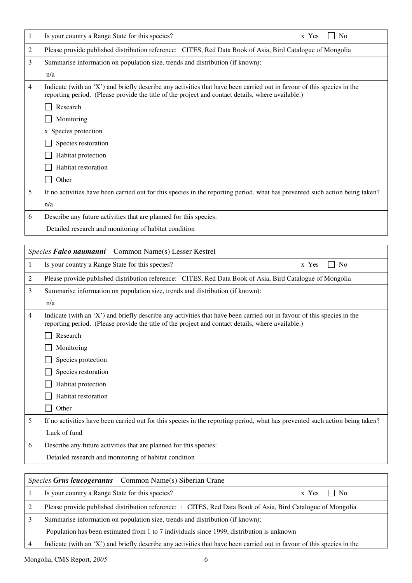| 1 | Is your country a Range State for this species?<br>x Yes<br>N <sub>o</sub>                                                                                                                                                  |
|---|-----------------------------------------------------------------------------------------------------------------------------------------------------------------------------------------------------------------------------|
| 2 | Please provide published distribution reference: CITES, Red Data Book of Asia, Bird Catalogue of Mongolia                                                                                                                   |
| 3 | Summarise information on population size, trends and distribution (if known):                                                                                                                                               |
|   | n/a                                                                                                                                                                                                                         |
| 4 | Indicate (with an 'X') and briefly describe any activities that have been carried out in favour of this species in the<br>reporting period. (Please provide the title of the project and contact details, where available.) |
|   | Research                                                                                                                                                                                                                    |
|   | Monitoring                                                                                                                                                                                                                  |
|   | x Species protection                                                                                                                                                                                                        |
|   | Species restoration                                                                                                                                                                                                         |
|   | Habitat protection                                                                                                                                                                                                          |
|   | Habitat restoration                                                                                                                                                                                                         |
|   | Other                                                                                                                                                                                                                       |
| 5 | If no activities have been carried out for this species in the reporting period, what has prevented such action being taken?                                                                                                |
|   | n/a                                                                                                                                                                                                                         |
| 6 | Describe any future activities that are planned for this species:                                                                                                                                                           |
|   | Detailed research and monitoring of habitat condition                                                                                                                                                                       |

|   | Species Falco naumanni - Common Name(s) Lesser Kestrel                                                                                                                                                                      |
|---|-----------------------------------------------------------------------------------------------------------------------------------------------------------------------------------------------------------------------------|
| 1 | Is your country a Range State for this species?<br>x Yes<br>N <sub>0</sub>                                                                                                                                                  |
| 2 | Please provide published distribution reference: CITES, Red Data Book of Asia, Bird Catalogue of Mongolia                                                                                                                   |
| 3 | Summarise information on population size, trends and distribution (if known):                                                                                                                                               |
|   | n/a                                                                                                                                                                                                                         |
| 4 | Indicate (with an 'X') and briefly describe any activities that have been carried out in favour of this species in the<br>reporting period. (Please provide the title of the project and contact details, where available.) |
|   | Research                                                                                                                                                                                                                    |
|   | Monitoring                                                                                                                                                                                                                  |
|   | Species protection                                                                                                                                                                                                          |
|   | Species restoration                                                                                                                                                                                                         |
|   | Habitat protection                                                                                                                                                                                                          |
|   | Habitat restoration                                                                                                                                                                                                         |
|   | Other                                                                                                                                                                                                                       |
| 5 | If no activities have been carried out for this species in the reporting period, what has prevented such action being taken?                                                                                                |
|   | Luck of fund                                                                                                                                                                                                                |
| 6 | Describe any future activities that are planned for this species:                                                                                                                                                           |
|   | Detailed research and monitoring of habitat condition                                                                                                                                                                       |
|   |                                                                                                                                                                                                                             |

| <i>Species Grus leucogeranus – Common Name(s) Siberian Crane</i> |                                                                                                                        |  |
|------------------------------------------------------------------|------------------------------------------------------------------------------------------------------------------------|--|
|                                                                  | Is your country a Range State for this species?<br>$x \text{Yes} \mid \text{No}$                                       |  |
|                                                                  | Please provide published distribution reference: : CITES, Red Data Book of Asia, Bird Catalogue of Mongolia            |  |
| 3                                                                | Summarise information on population size, trends and distribution (if known):                                          |  |
|                                                                  | Population has been estimated from 1 to 7 individuals since 1999, distribution is unknown                              |  |
|                                                                  | Indicate (with an 'X') and briefly describe any activities that have been carried out in favour of this species in the |  |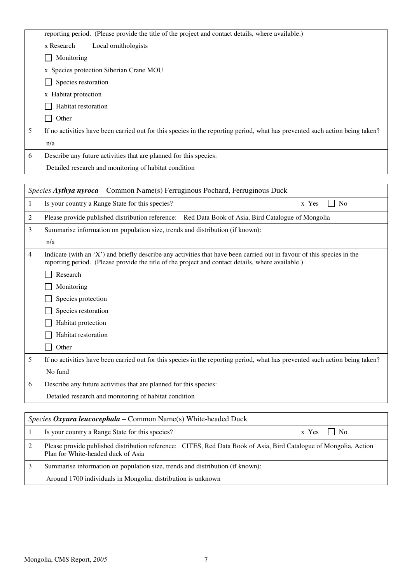|   | reporting period. (Please provide the title of the project and contact details, where available.)                            |
|---|------------------------------------------------------------------------------------------------------------------------------|
|   | x Research<br>Local ornithologists                                                                                           |
|   | Monitoring                                                                                                                   |
|   | x Species protection Siberian Crane MOU                                                                                      |
|   | Species restoration                                                                                                          |
|   | x Habitat protection                                                                                                         |
|   | Habitat restoration                                                                                                          |
|   | Other                                                                                                                        |
| 5 | If no activities have been carried out for this species in the reporting period, what has prevented such action being taken? |
|   | n/a                                                                                                                          |
| 6 | Describe any future activities that are planned for this species:                                                            |
|   | Detailed research and monitoring of habitat condition                                                                        |

|   | Species Aythya nyroca – Common Name(s) Ferruginous Pochard, Ferruginous Duck                                                                                                                                                |
|---|-----------------------------------------------------------------------------------------------------------------------------------------------------------------------------------------------------------------------------|
| 1 | Is your country a Range State for this species?<br>x Yes<br>No                                                                                                                                                              |
| 2 | Please provide published distribution reference: Red Data Book of Asia, Bird Catalogue of Mongolia                                                                                                                          |
| 3 | Summarise information on population size, trends and distribution (if known):                                                                                                                                               |
|   | n/a                                                                                                                                                                                                                         |
| 4 | Indicate (with an 'X') and briefly describe any activities that have been carried out in favour of this species in the<br>reporting period. (Please provide the title of the project and contact details, where available.) |
|   | Research                                                                                                                                                                                                                    |
|   | Monitoring                                                                                                                                                                                                                  |
|   | Species protection                                                                                                                                                                                                          |
|   | Species restoration                                                                                                                                                                                                         |
|   | Habitat protection                                                                                                                                                                                                          |
|   | Habitat restoration                                                                                                                                                                                                         |
|   | Other                                                                                                                                                                                                                       |
| 5 | If no activities have been carried out for this species in the reporting period, what has prevented such action being taken?                                                                                                |
|   | No fund                                                                                                                                                                                                                     |
| 6 | Describe any future activities that are planned for this species:                                                                                                                                                           |
|   | Detailed research and monitoring of habitat condition                                                                                                                                                                       |
|   |                                                                                                                                                                                                                             |

| <i>Species Oxyura leucocephala – Common Name(s)</i> White-headed Duck |                                                                                                                                                         |
|-----------------------------------------------------------------------|---------------------------------------------------------------------------------------------------------------------------------------------------------|
|                                                                       | Is your country a Range State for this species?<br>$x \text{Yes}$     No                                                                                |
|                                                                       | Please provide published distribution reference: CITES, Red Data Book of Asia, Bird Catalogue of Mongolia, Action<br>Plan for White-headed duck of Asia |
|                                                                       | Summarise information on population size, trends and distribution (if known):                                                                           |
|                                                                       | Around 1700 individuals in Mongolia, distribution is unknown                                                                                            |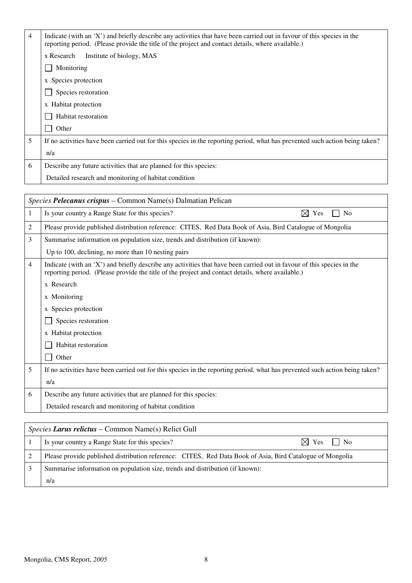| 4 | Indicate (with an 'X') and briefly describe any activities that have been carried out in favour of this species in the<br>reporting period. (Please provide the title of the project and contact details, where available.) |
|---|-----------------------------------------------------------------------------------------------------------------------------------------------------------------------------------------------------------------------------|
|   | Institute of biology, MAS<br>x Research                                                                                                                                                                                     |
|   | Monitoring                                                                                                                                                                                                                  |
|   | x Species protection                                                                                                                                                                                                        |
|   | Species restoration                                                                                                                                                                                                         |
|   | x Habitat protection                                                                                                                                                                                                        |
|   | Habitat restoration                                                                                                                                                                                                         |
|   | Other                                                                                                                                                                                                                       |
| 5 | If no activities have been carried out for this species in the reporting period, what has prevented such action being taken?                                                                                                |
|   | n/a                                                                                                                                                                                                                         |
| 6 | Describe any future activities that are planned for this species:                                                                                                                                                           |
|   | Detailed research and monitoring of habitat condition                                                                                                                                                                       |

|   | Species Pelecanus crispus – Common Name(s) Dalmatian Pelican                                                                                                                                                                |  |
|---|-----------------------------------------------------------------------------------------------------------------------------------------------------------------------------------------------------------------------------|--|
| 1 | $\boxtimes$ Yes<br>Is your country a Range State for this species?<br>N <sub>0</sub>                                                                                                                                        |  |
| 2 | Please provide published distribution reference: CITES, Red Data Book of Asia, Bird Catalogue of Mongolia                                                                                                                   |  |
| 3 | Summarise information on population size, trends and distribution (if known):                                                                                                                                               |  |
|   | Up to 100, declining, no more than 10 nesting pairs                                                                                                                                                                         |  |
| 4 | Indicate (with an 'X') and briefly describe any activities that have been carried out in favour of this species in the<br>reporting period. (Please provide the title of the project and contact details, where available.) |  |
|   | x Research                                                                                                                                                                                                                  |  |
|   | x Monitoring                                                                                                                                                                                                                |  |
|   | x Species protection                                                                                                                                                                                                        |  |
|   | Species restoration                                                                                                                                                                                                         |  |
|   | x Habitat protection                                                                                                                                                                                                        |  |
|   | Habitat restoration                                                                                                                                                                                                         |  |
|   | Other                                                                                                                                                                                                                       |  |
| 5 | If no activities have been carried out for this species in the reporting period, what has prevented such action being taken?                                                                                                |  |
|   | n/a                                                                                                                                                                                                                         |  |
| 6 | Describe any future activities that are planned for this species:                                                                                                                                                           |  |
|   | Detailed research and monitoring of habitat condition                                                                                                                                                                       |  |
|   |                                                                                                                                                                                                                             |  |

| <i>Species Larus relictus – Common Name(s) Relict Gull</i>                                                |  |
|-----------------------------------------------------------------------------------------------------------|--|
| $\boxtimes$ Yes $\Box$ No<br>Is your country a Range State for this species?                              |  |
| Please provide published distribution reference: CITES, Red Data Book of Asia, Bird Catalogue of Mongolia |  |
| Summarise information on population size, trends and distribution (if known):                             |  |
| n/a                                                                                                       |  |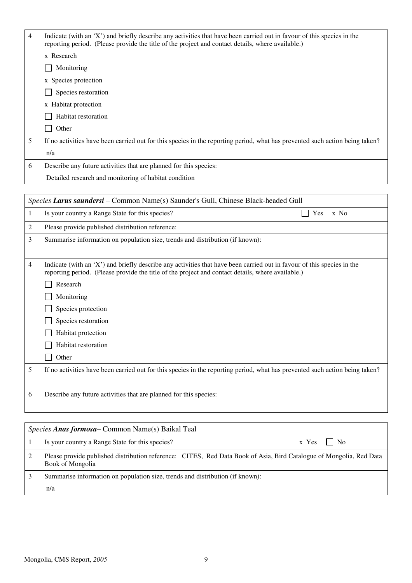| 4 | Indicate (with an 'X') and briefly describe any activities that have been carried out in favour of this species in the<br>reporting period. (Please provide the title of the project and contact details, where available.) |
|---|-----------------------------------------------------------------------------------------------------------------------------------------------------------------------------------------------------------------------------|
|   | x Research                                                                                                                                                                                                                  |
|   | Monitoring                                                                                                                                                                                                                  |
|   | x Species protection                                                                                                                                                                                                        |
|   | Species restoration                                                                                                                                                                                                         |
|   | x Habitat protection                                                                                                                                                                                                        |
|   | Habitat restoration                                                                                                                                                                                                         |
|   | Other                                                                                                                                                                                                                       |
| 5 | If no activities have been carried out for this species in the reporting period, what has prevented such action being taken?                                                                                                |
|   | n/a                                                                                                                                                                                                                         |
| 6 | Describe any future activities that are planned for this species:                                                                                                                                                           |
|   | Detailed research and monitoring of habitat condition                                                                                                                                                                       |

| Species Larus saundersi - Common Name(s) Saunder's Gull, Chinese Black-headed Gull                                                                                                                                          |  |
|-----------------------------------------------------------------------------------------------------------------------------------------------------------------------------------------------------------------------------|--|
| Is your country a Range State for this species?<br>Yes<br>x No                                                                                                                                                              |  |
| Please provide published distribution reference:                                                                                                                                                                            |  |
| Summarise information on population size, trends and distribution (if known):                                                                                                                                               |  |
|                                                                                                                                                                                                                             |  |
| Indicate (with an 'X') and briefly describe any activities that have been carried out in favour of this species in the<br>reporting period. (Please provide the title of the project and contact details, where available.) |  |
| Research                                                                                                                                                                                                                    |  |
| Monitoring                                                                                                                                                                                                                  |  |
| Species protection                                                                                                                                                                                                          |  |
| Species restoration                                                                                                                                                                                                         |  |
| Habitat protection                                                                                                                                                                                                          |  |
| Habitat restoration                                                                                                                                                                                                         |  |
| Other                                                                                                                                                                                                                       |  |
| If no activities have been carried out for this species in the reporting period, what has prevented such action being taken?                                                                                                |  |
|                                                                                                                                                                                                                             |  |
| Describe any future activities that are planned for this species:                                                                                                                                                           |  |
|                                                                                                                                                                                                                             |  |
|                                                                                                                                                                                                                             |  |

| Species Anas formosa – Common Name(s) Baikal Teal                                                                                       |  |
|-----------------------------------------------------------------------------------------------------------------------------------------|--|
| Is your country a Range State for this species?<br>No.<br>$x \text{Yes}$                                                                |  |
| Please provide published distribution reference: CITES, Red Data Book of Asia, Bird Catalogue of Mongolia, Red Data<br>Book of Mongolia |  |
| Summarise information on population size, trends and distribution (if known):                                                           |  |
| n/a                                                                                                                                     |  |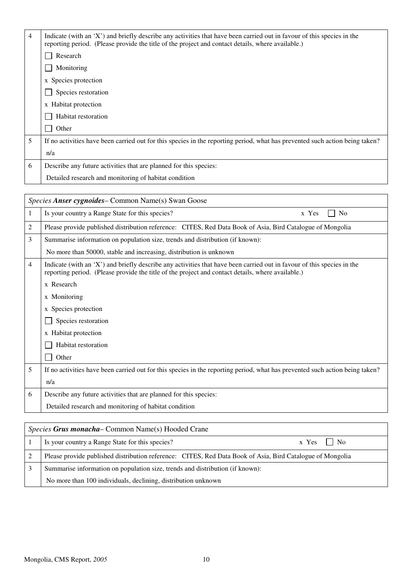| 4 | Indicate (with an 'X') and briefly describe any activities that have been carried out in favour of this species in the<br>reporting period. (Please provide the title of the project and contact details, where available.) |
|---|-----------------------------------------------------------------------------------------------------------------------------------------------------------------------------------------------------------------------------|
|   | Research                                                                                                                                                                                                                    |
|   | Monitoring                                                                                                                                                                                                                  |
|   | x Species protection                                                                                                                                                                                                        |
|   | Species restoration                                                                                                                                                                                                         |
|   | x Habitat protection                                                                                                                                                                                                        |
|   | Habitat restoration                                                                                                                                                                                                         |
|   | Other                                                                                                                                                                                                                       |
| 5 | If no activities have been carried out for this species in the reporting period, what has prevented such action being taken?                                                                                                |
|   | n/a                                                                                                                                                                                                                         |
| 6 | Describe any future activities that are planned for this species:                                                                                                                                                           |
|   | Detailed research and monitoring of habitat condition                                                                                                                                                                       |

|   | Species Anser cygnoides – Common Name(s) Swan Goose                                                                                                                                                                         |  |
|---|-----------------------------------------------------------------------------------------------------------------------------------------------------------------------------------------------------------------------------|--|
| 1 | Is your country a Range State for this species?<br>x Yes<br>N <sub>0</sub>                                                                                                                                                  |  |
| 2 | Please provide published distribution reference: CITES, Red Data Book of Asia, Bird Catalogue of Mongolia                                                                                                                   |  |
| 3 | Summarise information on population size, trends and distribution (if known):                                                                                                                                               |  |
|   | No more than 50000, stable and increasing, distribution is unknown                                                                                                                                                          |  |
| 4 | Indicate (with an 'X') and briefly describe any activities that have been carried out in favour of this species in the<br>reporting period. (Please provide the title of the project and contact details, where available.) |  |
|   | x Research                                                                                                                                                                                                                  |  |
|   | x Monitoring                                                                                                                                                                                                                |  |
|   | x Species protection                                                                                                                                                                                                        |  |
|   | Species restoration                                                                                                                                                                                                         |  |
|   | x Habitat protection                                                                                                                                                                                                        |  |
|   | Habitat restoration                                                                                                                                                                                                         |  |
|   | Other                                                                                                                                                                                                                       |  |
| 5 | If no activities have been carried out for this species in the reporting period, what has prevented such action being taken?                                                                                                |  |
|   | n/a                                                                                                                                                                                                                         |  |
| 6 | Describe any future activities that are planned for this species:                                                                                                                                                           |  |
|   | Detailed research and monitoring of habitat condition                                                                                                                                                                       |  |
|   |                                                                                                                                                                                                                             |  |

| <i>Species Grus monacha</i> – Common Name(s) Hooded Crane                                                 |  |
|-----------------------------------------------------------------------------------------------------------|--|
| Is your country a Range State for this species?<br>$x \text{Yes} \perp \text{No}$                         |  |
| Please provide published distribution reference: CITES, Red Data Book of Asia, Bird Catalogue of Mongolia |  |
| Summarise information on population size, trends and distribution (if known):                             |  |
| No more than 100 individuals, declining, distribution unknown                                             |  |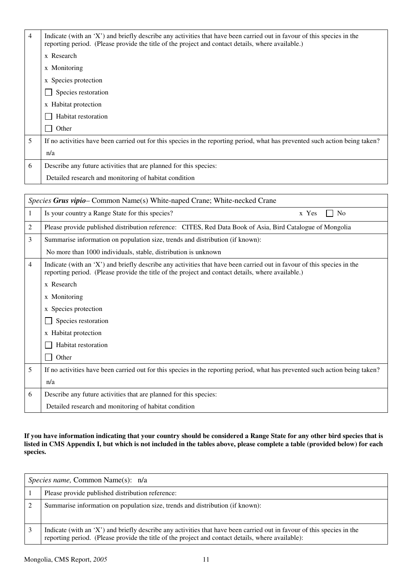| 4 | Indicate (with an 'X') and briefly describe any activities that have been carried out in favour of this species in the<br>reporting period. (Please provide the title of the project and contact details, where available.) |
|---|-----------------------------------------------------------------------------------------------------------------------------------------------------------------------------------------------------------------------------|
|   | x Research                                                                                                                                                                                                                  |
|   | x Monitoring                                                                                                                                                                                                                |
|   | x Species protection                                                                                                                                                                                                        |
|   | Species restoration                                                                                                                                                                                                         |
|   | x Habitat protection                                                                                                                                                                                                        |
|   | Habitat restoration                                                                                                                                                                                                         |
|   | Other                                                                                                                                                                                                                       |
| 5 | If no activities have been carried out for this species in the reporting period, what has prevented such action being taken?                                                                                                |
|   | n/a                                                                                                                                                                                                                         |
| 6 | Describe any future activities that are planned for this species:                                                                                                                                                           |
|   | Detailed research and monitoring of habitat condition                                                                                                                                                                       |

| <i>Species Grus vipio</i> – Common Name(s) White-naped Crane; White-necked Crane |                                                                                                                                                                                                                             |
|----------------------------------------------------------------------------------|-----------------------------------------------------------------------------------------------------------------------------------------------------------------------------------------------------------------------------|
| 1                                                                                | Is your country a Range State for this species?<br>N <sub>0</sub><br>x Yes                                                                                                                                                  |
| 2                                                                                | Please provide published distribution reference: CITES, Red Data Book of Asia, Bird Catalogue of Mongolia                                                                                                                   |
| 3                                                                                | Summarise information on population size, trends and distribution (if known):                                                                                                                                               |
|                                                                                  | No more than 1000 individuals, stable, distribution is unknown                                                                                                                                                              |
| $\overline{4}$                                                                   | Indicate (with an 'X') and briefly describe any activities that have been carried out in favour of this species in the<br>reporting period. (Please provide the title of the project and contact details, where available.) |
|                                                                                  | x Research                                                                                                                                                                                                                  |
|                                                                                  | x Monitoring                                                                                                                                                                                                                |
|                                                                                  | x Species protection                                                                                                                                                                                                        |
|                                                                                  | Species restoration                                                                                                                                                                                                         |
|                                                                                  | x Habitat protection                                                                                                                                                                                                        |
|                                                                                  | Habitat restoration                                                                                                                                                                                                         |
|                                                                                  | Other                                                                                                                                                                                                                       |
| 5                                                                                | If no activities have been carried out for this species in the reporting period, what has prevented such action being taken?                                                                                                |
|                                                                                  | n/a                                                                                                                                                                                                                         |
| 6                                                                                | Describe any future activities that are planned for this species:                                                                                                                                                           |
|                                                                                  | Detailed research and monitoring of habitat condition                                                                                                                                                                       |

#### **If you have information indicating that your country should be considered a Range State for any other bird species that is listed in CMS Appendix I, but which is not included in the tables above, please complete a table (provided below) for each species.**

| <i>Species name,</i> Common Name(s): n/a                                                                                                                                                                                    |
|-----------------------------------------------------------------------------------------------------------------------------------------------------------------------------------------------------------------------------|
| Please provide published distribution reference:                                                                                                                                                                            |
| Summarise information on population size, trends and distribution (if known):                                                                                                                                               |
| Indicate (with an 'X') and briefly describe any activities that have been carried out in favour of this species in the<br>reporting period. (Please provide the title of the project and contact details, where available): |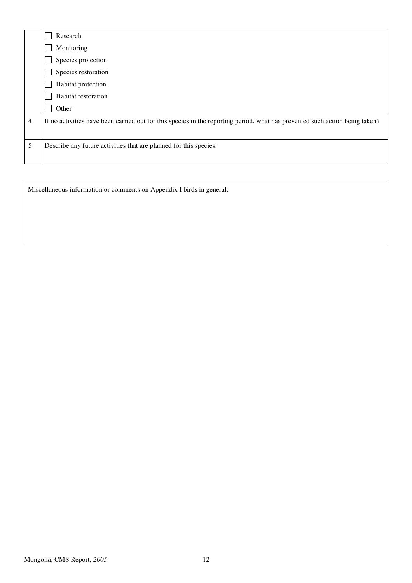|                | Research                                                                                                                     |
|----------------|------------------------------------------------------------------------------------------------------------------------------|
|                | Monitoring                                                                                                                   |
|                | Species protection                                                                                                           |
|                | Species restoration                                                                                                          |
|                | Habitat protection                                                                                                           |
|                | Habitat restoration                                                                                                          |
|                | Other                                                                                                                        |
| $\overline{4}$ | If no activities have been carried out for this species in the reporting period, what has prevented such action being taken? |
|                |                                                                                                                              |
| 5              | Describe any future activities that are planned for this species:                                                            |
|                |                                                                                                                              |

Miscellaneous information or comments on Appendix I birds in general: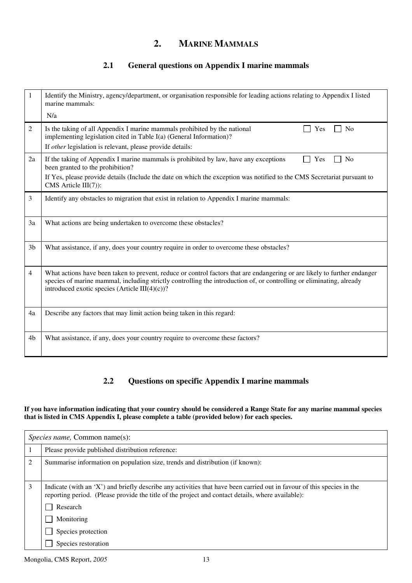# **2. MARINE MAMMALS**

## **2.1 General questions on Appendix I marine mammals**

| 1              | Identify the Ministry, agency/department, or organisation responsible for leading actions relating to Appendix I listed<br>marine mammals:<br>N/a                                                                                                                                                        |
|----------------|----------------------------------------------------------------------------------------------------------------------------------------------------------------------------------------------------------------------------------------------------------------------------------------------------------|
| $\overline{2}$ | N <sub>o</sub><br>Is the taking of all Appendix I marine mammals prohibited by the national<br>Yes<br>implementing legislation cited in Table I(a) (General Information)?<br>If other legislation is relevant, please provide details:                                                                   |
| 2a             | If the taking of Appendix I marine mammals is prohibited by law, have any exceptions<br>N <sub>0</sub><br>Yes<br>been granted to the prohibition?<br>If Yes, please provide details (Include the date on which the exception was notified to the CMS Secretariat pursuant to<br>$CMS$ Article $III(7)$ : |
| $\overline{3}$ | Identify any obstacles to migration that exist in relation to Appendix I marine mammals:                                                                                                                                                                                                                 |
| 3a             | What actions are being undertaken to overcome these obstacles?                                                                                                                                                                                                                                           |
| 3 <sub>b</sub> | What assistance, if any, does your country require in order to overcome these obstacles?                                                                                                                                                                                                                 |
| $\overline{4}$ | What actions have been taken to prevent, reduce or control factors that are endangering or are likely to further endanger<br>species of marine mammal, including strictly controlling the introduction of, or controlling or eliminating, already<br>introduced exotic species (Article III $(4)(c)$ )?  |
| 4a             | Describe any factors that may limit action being taken in this regard:                                                                                                                                                                                                                                   |
| 4 <sub>b</sub> | What assistance, if any, does your country require to overcome these factors?                                                                                                                                                                                                                            |

## **2.2 Questions on specific Appendix I marine mammals**

**If you have information indicating that your country should be considered a Range State for any marine mammal species that is listed in CMS Appendix I, please complete a table (provided below) for each species.**

| <i>Species name, Common name(s):</i> |                                                                                                                                                                                                                                         |
|--------------------------------------|-----------------------------------------------------------------------------------------------------------------------------------------------------------------------------------------------------------------------------------------|
|                                      | Please provide published distribution reference:                                                                                                                                                                                        |
|                                      | Summarise information on population size, trends and distribution (if known):                                                                                                                                                           |
| 3                                    | Indicate (with an 'X') and briefly describe any activities that have been carried out in favour of this species in the<br>reporting period. (Please provide the title of the project and contact details, where available):<br>Research |
|                                      | Monitoring                                                                                                                                                                                                                              |
|                                      | Species protection                                                                                                                                                                                                                      |
|                                      | Species restoration                                                                                                                                                                                                                     |

Mongolia, CMS Report, 2005 13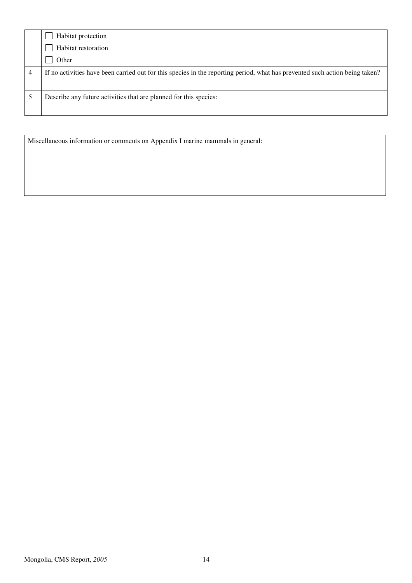|   | Habitat protection                                                                                                           |
|---|------------------------------------------------------------------------------------------------------------------------------|
|   | Habitat restoration                                                                                                          |
|   | Other                                                                                                                        |
| 4 | If no activities have been carried out for this species in the reporting period, what has prevented such action being taken? |
|   | Describe any future activities that are planned for this species:                                                            |

Miscellaneous information or comments on Appendix I marine mammals in general: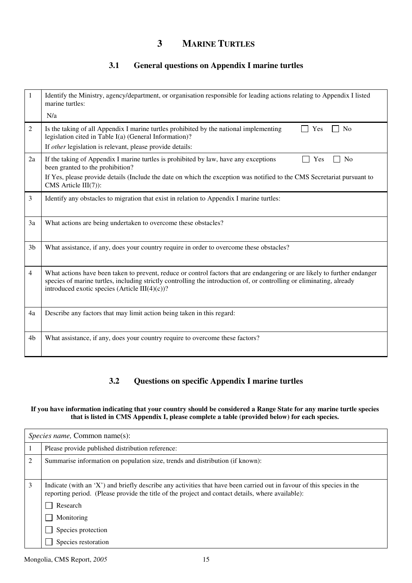# **3 MARINE TURTLES**

## **3.1 General questions on Appendix I marine turtles**

| 1              | Identify the Ministry, agency/department, or organisation responsible for leading actions relating to Appendix I listed<br>marine turtles:<br>N/a                                                                                                                                                        |
|----------------|----------------------------------------------------------------------------------------------------------------------------------------------------------------------------------------------------------------------------------------------------------------------------------------------------------|
| 2              | Is the taking of all Appendix I marine turtles prohibited by the national implementing<br>No<br>Yes<br>legislation cited in Table I(a) (General Information)?                                                                                                                                            |
|                | If other legislation is relevant, please provide details:                                                                                                                                                                                                                                                |
| 2a             | If the taking of Appendix I marine turtles is prohibited by law, have any exceptions<br>N <sub>0</sub><br>Yes<br>been granted to the prohibition?                                                                                                                                                        |
|                | If Yes, please provide details (Include the date on which the exception was notified to the CMS Secretariat pursuant to<br>$CMS$ Article $III(7)$ :                                                                                                                                                      |
| 3              | Identify any obstacles to migration that exist in relation to Appendix I marine turtles:                                                                                                                                                                                                                 |
| 3a             | What actions are being undertaken to overcome these obstacles?                                                                                                                                                                                                                                           |
| 3 <sub>b</sub> | What assistance, if any, does your country require in order to overcome these obstacles?                                                                                                                                                                                                                 |
| $\overline{4}$ | What actions have been taken to prevent, reduce or control factors that are endangering or are likely to further endanger<br>species of marine turtles, including strictly controlling the introduction of, or controlling or eliminating, already<br>introduced exotic species (Article III $(4)(c)$ )? |
| 4a             | Describe any factors that may limit action being taken in this regard:                                                                                                                                                                                                                                   |
| 4 <sub>b</sub> | What assistance, if any, does your country require to overcome these factors?                                                                                                                                                                                                                            |

## **3.2 Questions on specific Appendix I marine turtles**

#### **If you have information indicating that your country should be considered a Range State for any marine turtle species that is listed in CMS Appendix I, please complete a table (provided below) for each species.**

| <i>Species name, Common name(s):</i> |                                                                                                                                                                                                                                                                             |
|--------------------------------------|-----------------------------------------------------------------------------------------------------------------------------------------------------------------------------------------------------------------------------------------------------------------------------|
|                                      | Please provide published distribution reference:                                                                                                                                                                                                                            |
| 2                                    | Summarise information on population size, trends and distribution (if known):                                                                                                                                                                                               |
| 3                                    | Indicate (with an 'X') and briefly describe any activities that have been carried out in favour of this species in the<br>reporting period. (Please provide the title of the project and contact details, where available):<br>Research<br>Monitoring<br>Species protection |
|                                      | Species restoration                                                                                                                                                                                                                                                         |

Mongolia, CMS Report, 2005 15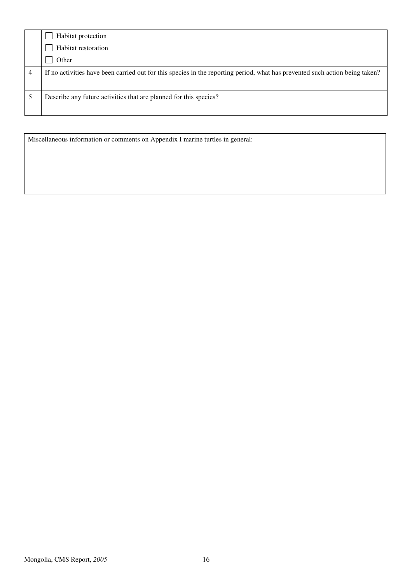| Habitat protection                                                                                                           |
|------------------------------------------------------------------------------------------------------------------------------|
| Habitat restoration                                                                                                          |
| Other                                                                                                                        |
| If no activities have been carried out for this species in the reporting period, what has prevented such action being taken? |
| Describe any future activities that are planned for this species?                                                            |

Miscellaneous information or comments on Appendix I marine turtles in general: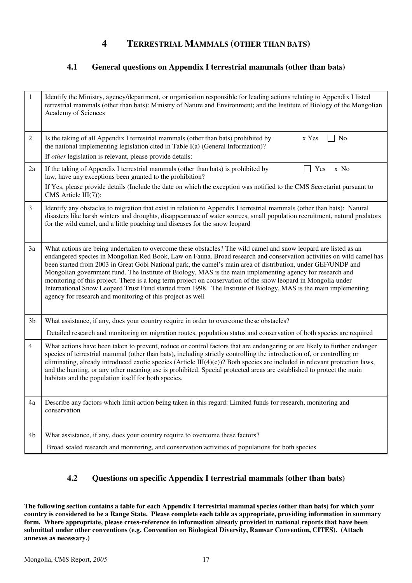## **4 TERRESTRIAL MAMMALS (OTHER THAN BATS)**

### **4.1 General questions on Appendix I terrestrial mammals (other than bats)**

| 1              | Identify the Ministry, agency/department, or organisation responsible for leading actions relating to Appendix I listed<br>terrestrial mammals (other than bats): Ministry of Nature and Environment; and the Institute of Biology of the Mongolian<br><b>Academy of Sciences</b>                                                                                                                                                                                                                                                                                                                                                                                                                                                                                        |
|----------------|--------------------------------------------------------------------------------------------------------------------------------------------------------------------------------------------------------------------------------------------------------------------------------------------------------------------------------------------------------------------------------------------------------------------------------------------------------------------------------------------------------------------------------------------------------------------------------------------------------------------------------------------------------------------------------------------------------------------------------------------------------------------------|
| $\overline{c}$ | Is the taking of all Appendix I terrestrial mammals (other than bats) prohibited by<br>x Yes<br>No<br>the national implementing legislation cited in Table I(a) (General Information)?<br>If other legislation is relevant, please provide details:                                                                                                                                                                                                                                                                                                                                                                                                                                                                                                                      |
| 2a             | If the taking of Appendix I terrestrial mammals (other than bats) is prohibited by<br>Yes<br>x No<br>law, have any exceptions been granted to the prohibition?                                                                                                                                                                                                                                                                                                                                                                                                                                                                                                                                                                                                           |
|                | If Yes, please provide details (Include the date on which the exception was notified to the CMS Secretariat pursuant to<br>$CMS$ Article $III(7)$ :                                                                                                                                                                                                                                                                                                                                                                                                                                                                                                                                                                                                                      |
| 3              | Identify any obstacles to migration that exist in relation to Appendix I terrestrial mammals (other than bats): Natural<br>disasters like harsh winters and droughts, disappearance of water sources, small population recruitment, natural predators<br>for the wild camel, and a little poaching and diseases for the snow leopard                                                                                                                                                                                                                                                                                                                                                                                                                                     |
| 3a             | What actions are being undertaken to overcome these obstacles? The wild camel and snow leopard are listed as an<br>endangered species in Mongolian Red Book, Law on Fauna. Broad research and conservation activities on wild camel has<br>been started from 2003 in Great Gobi National park, the camel's main area of distribution, under GEF/UNDP and<br>Mongolian government fund. The Institute of Biology, MAS is the main implementing agency for research and<br>monitoring of this project. There is a long term project on conservation of the snow leopard in Mongolia under<br>International Snow Leopard Trust Fund started from 1998. The Institute of Biology, MAS is the main implementing<br>agency for research and monitoring of this project as well |
| 3 <sub>b</sub> | What assistance, if any, does your country require in order to overcome these obstacles?                                                                                                                                                                                                                                                                                                                                                                                                                                                                                                                                                                                                                                                                                 |
|                | Detailed research and monitoring on migration routes, population status and conservation of both species are required                                                                                                                                                                                                                                                                                                                                                                                                                                                                                                                                                                                                                                                    |
| $\overline{4}$ | What actions have been taken to prevent, reduce or control factors that are endangering or are likely to further endanger<br>species of terrestrial mammal (other than bats), including strictly controlling the introduction of, or controlling or<br>eliminating, already introduced exotic species (Article $III(4)(c)$ )? Both species are included in relevant protection laws,<br>and the hunting, or any other meaning use is prohibited. Special protected areas are established to protect the main<br>habitats and the population itself for both species.                                                                                                                                                                                                     |
| 4a             | Describe any factors which limit action being taken in this regard: Limited funds for research, monitoring and<br>conservation                                                                                                                                                                                                                                                                                                                                                                                                                                                                                                                                                                                                                                           |
| 4b             | What assistance, if any, does your country require to overcome these factors?                                                                                                                                                                                                                                                                                                                                                                                                                                                                                                                                                                                                                                                                                            |
|                | Broad scaled research and monitoring, and conservation activities of populations for both species                                                                                                                                                                                                                                                                                                                                                                                                                                                                                                                                                                                                                                                                        |

## **4.2 Questions on specific Appendix I terrestrial mammals (other than bats)**

**The following section contains a table for each Appendix I terrestrial mammal species (other than bats) for which your country is considered to be a Range State. Please complete each table as appropriate, providing information in summary form. Where appropriate, please cross-reference to information already provided in national reports that have been submitted under other conventions (e.g. Convention on Biological Diversity, Ramsar Convention, CITES). (Attach annexes as necessary.)**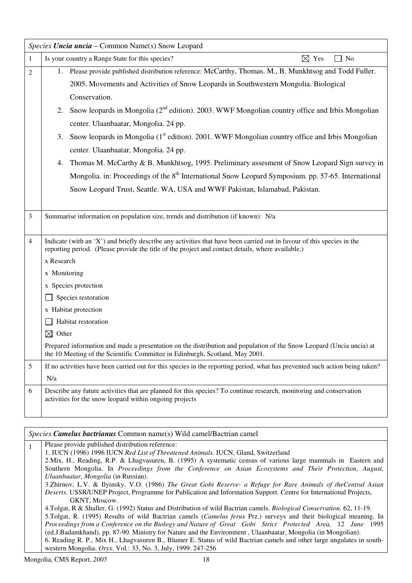|              | Species Uncia uncia – Common Name(s) Snow Leopard                                                                                                                                                                           |
|--------------|-----------------------------------------------------------------------------------------------------------------------------------------------------------------------------------------------------------------------------|
| $\mathbf{1}$ | $\boxtimes$ Yes<br>Is your country a Range State for this species?<br>No                                                                                                                                                    |
| 2            | 1. Please provide published distribution reference: McCarthy, Thomas. M., B. Munkhtsog and Todd Fuller.                                                                                                                     |
|              | 2005. Movements and Activities of Snow Leopards in Southwestern Mongolia. Biological                                                                                                                                        |
|              | Conservation.                                                                                                                                                                                                               |
|              | 2. Snow leopards in Mongolia $(2^{nd}$ edition). 2003. WWF Mongolian country office and Irbis Mongolian                                                                                                                     |
|              | center. Ulaanbaatar, Mongolia. 24 pp.                                                                                                                                                                                       |
|              | Snow leopards in Mongolia (1 <sup>st</sup> edition). 2001. WWF Mongolian country office and Irbis Mongolian<br>3.                                                                                                           |
|              | center. Ulaanbaatar, Mongolia. 24 pp.                                                                                                                                                                                       |
|              | Thomas M. McCarthy & B. Munkhtsog, 1995. Preliminary assessment of Snow Leopard Sign survey in<br>4.                                                                                                                        |
|              | Mongolia. in: Proceedings of the 8 <sup>th</sup> International Snow Leopard Symposium. pp. 57-65. International                                                                                                             |
|              | Snow Leopard Trust, Seattle. WA, USA and WWF Pakistan, Islamabad, Pakistan.                                                                                                                                                 |
|              |                                                                                                                                                                                                                             |
| 3            | Summarise information on population size, trends and distribution (if known): N/a                                                                                                                                           |
|              |                                                                                                                                                                                                                             |
| 4            | Indicate (with an 'X') and briefly describe any activities that have been carried out in favour of this species in the<br>reporting period. (Please provide the title of the project and contact details, where available.) |
|              | x Research                                                                                                                                                                                                                  |
|              | x Monitoring                                                                                                                                                                                                                |
|              | x Species protection                                                                                                                                                                                                        |
|              | Species restoration                                                                                                                                                                                                         |
|              | x Habitat protection                                                                                                                                                                                                        |
|              | Habitat restoration                                                                                                                                                                                                         |
|              | $\boxtimes$ Other                                                                                                                                                                                                           |
|              | Prepared information and made a presentation on the distribution and population of the Snow Leopard (Uncia uncia) at<br>the 10 Meeting of the Scientific Committee in Edinburgh, Scotland, May 2001.                        |
| 5            | If no activities have been carried out for this species in the reporting period, what has prevented such action being taken?                                                                                                |
|              | N/a                                                                                                                                                                                                                         |
| 6            | Describe any future activities that are planned for this species? To continue research, monitoring and conservation<br>activities for the snow leopard within ongoing projects                                              |

| <i>Species <b>Camelus bactrianus</b></i> Common name(s) Wild camel/Bactrian camel                                              |  |
|--------------------------------------------------------------------------------------------------------------------------------|--|
| Please provide published distribution reference:                                                                               |  |
| 1. IUCN (1996) 1996 IUCN Red List of Threatened Animals. IUCN, Gland, Switzerland                                              |  |
| 2. Mix, H., Reading, R.P. & Lhagyasuren, B. (1995) A systematic census of various large mammals in Eastern and                 |  |
| Southern Mongolia. In Proceedings from the Conference on Asian Ecosystems and Their Protection, August,                        |  |
| Ulaanbaatar, Mongolia (in Russian).                                                                                            |  |
| 3.Zhirnov, L.V. & Ilyinsky, V.O. (1986) The Great Gobi Reserve- a Refuge for Rare Animals of the Central Asian                 |  |
| Deserts. USSR/UNEP Project, Programme for Publication and Information Support. Centre for International Projects,              |  |
| GKNT, Moscow.                                                                                                                  |  |
| 4. Tolgat, R & Shaller, G. (1992) Status and Distribution of wild Bactrian camels. <i>Biological Conservation</i> . 62, 11-19. |  |
| 5. Tolgat, R. (1995) Results of wild Bactrian camels ( <i>Camelus ferus Prz.</i> ) surveys and their biological meaning. In    |  |
| Proceedings from a Conference on the Biology and Nature of Great Gobi Strict Protected Area, 12 June 1995                      |  |
| (ed.J.Badamkhand), pp. 87-90. Ministry for Nature and the Environment, Ulaanbaatar, Mongolia (in Mongolian).                   |  |
| 6. Reading R. P., Mix H., Lhagyasuren B., Blumer E. Status of wild Bactrian camels and other large ungulates in south-         |  |
| western Mongolia. Oryx. Vol.: 33, No. 3, July, 1999. 247-256                                                                   |  |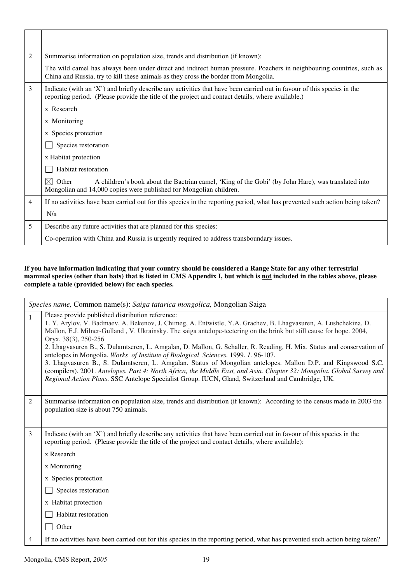| $\mathfrak{2}$ | Summarise information on population size, trends and distribution (if known):                                                                                                                                               |
|----------------|-----------------------------------------------------------------------------------------------------------------------------------------------------------------------------------------------------------------------------|
|                | The wild camel has always been under direct and indirect human pressure. Poachers in neighbouring countries, such as<br>China and Russia, try to kill these animals as they cross the border from Mongolia.                 |
| 3              | Indicate (with an 'X') and briefly describe any activities that have been carried out in favour of this species in the<br>reporting period. (Please provide the title of the project and contact details, where available.) |
|                | x Research                                                                                                                                                                                                                  |
|                | x Monitoring                                                                                                                                                                                                                |
|                | x Species protection                                                                                                                                                                                                        |
|                | Species restoration                                                                                                                                                                                                         |
|                | x Habitat protection                                                                                                                                                                                                        |
|                | Habitat restoration                                                                                                                                                                                                         |
|                | $\boxtimes$ Other<br>A children's book about the Bactrian camel, 'King of the Gobi' (by John Hare), was translated into<br>Mongolian and 14,000 copies were published for Mongolian children.                               |
| $\overline{4}$ | If no activities have been carried out for this species in the reporting period, what has prevented such action being taken?                                                                                                |
|                | N/a                                                                                                                                                                                                                         |
| 5              | Describe any future activities that are planned for this species:                                                                                                                                                           |
|                | Co-operation with China and Russia is urgently required to address transboundary issues.                                                                                                                                    |

#### **If you have information indicating that your country should be considered a Range State for any other terrestrial mammal species (other than bats) that is listed in CMS Appendix I, but which is not included in the tables above, please complete a table (provided below) for each species.**

|                | Species name, Common name(s): Saiga tatarica mongolica, Mongolian Saiga                                                                                                                                                                                                                                                                                                                                                                                                                                                                                                                                                                                                                                                                                                                                                                                                           |  |
|----------------|-----------------------------------------------------------------------------------------------------------------------------------------------------------------------------------------------------------------------------------------------------------------------------------------------------------------------------------------------------------------------------------------------------------------------------------------------------------------------------------------------------------------------------------------------------------------------------------------------------------------------------------------------------------------------------------------------------------------------------------------------------------------------------------------------------------------------------------------------------------------------------------|--|
| $\mathbf{1}$   | Please provide published distribution reference:<br>1. Y. Arylov, V. Badmaev, A. Bekenov, J. Chimeg, A. Entwistle, Y.A. Grachev, B. Lhagvasuren, A. Lushchekina, D.<br>Mallon, E.J. Milner-Gulland, V. Ukrainsky. The saiga antelope-teetering on the brink but still cause for hope. 2004,<br>Oryx, 38(3), 250-256<br>2. Lhagvasuren B., S. Dulamtseren, L. Amgalan, D. Mallon, G. Schaller, R. Reading, H. Mix. Status and conservation of<br>antelopes in Mongolia. Works of Institute of Biological Sciences. 1999. 1. 96-107.<br>3. Lhagvasuren B., S. Dulamtseren, L. Amgalan. Status of Mongolian antelopes. Mallon D.P. and Kingswood S.C.<br>(compilers). 2001. Antelopes. Part 4: North Africa, the Middle East, and Asia. Chapter 32: Mongolia. Global Survey and<br>Regional Action Plans. SSC Antelope Specialist Group. IUCN, Gland, Switzerland and Cambridge, UK. |  |
| $\overline{2}$ | Summarise information on population size, trends and distribution (if known): According to the census made in 2003 the<br>population size is about 750 animals.                                                                                                                                                                                                                                                                                                                                                                                                                                                                                                                                                                                                                                                                                                                   |  |
| 3              | Indicate (with an 'X') and briefly describe any activities that have been carried out in favour of this species in the<br>reporting period. (Please provide the title of the project and contact details, where available):                                                                                                                                                                                                                                                                                                                                                                                                                                                                                                                                                                                                                                                       |  |
|                | x Research                                                                                                                                                                                                                                                                                                                                                                                                                                                                                                                                                                                                                                                                                                                                                                                                                                                                        |  |
|                | x Monitoring                                                                                                                                                                                                                                                                                                                                                                                                                                                                                                                                                                                                                                                                                                                                                                                                                                                                      |  |
|                | x Species protection                                                                                                                                                                                                                                                                                                                                                                                                                                                                                                                                                                                                                                                                                                                                                                                                                                                              |  |
|                | Species restoration                                                                                                                                                                                                                                                                                                                                                                                                                                                                                                                                                                                                                                                                                                                                                                                                                                                               |  |
|                | x Habitat protection                                                                                                                                                                                                                                                                                                                                                                                                                                                                                                                                                                                                                                                                                                                                                                                                                                                              |  |
|                | Habitat restoration                                                                                                                                                                                                                                                                                                                                                                                                                                                                                                                                                                                                                                                                                                                                                                                                                                                               |  |
|                | Other                                                                                                                                                                                                                                                                                                                                                                                                                                                                                                                                                                                                                                                                                                                                                                                                                                                                             |  |
| 4              | If no activities have been carried out for this species in the reporting period, what has prevented such action being taken?                                                                                                                                                                                                                                                                                                                                                                                                                                                                                                                                                                                                                                                                                                                                                      |  |

П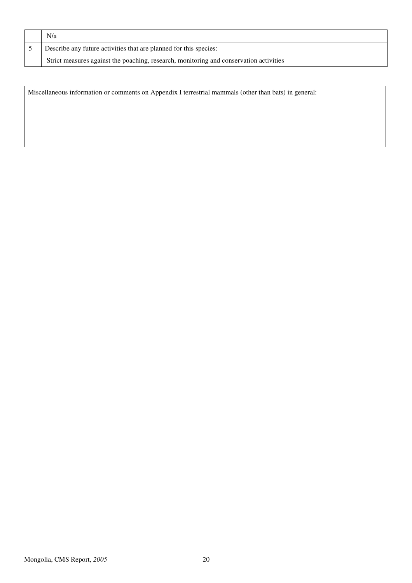| N/a                                                                                    |
|----------------------------------------------------------------------------------------|
| Describe any future activities that are planned for this species:                      |
| Strict measures against the poaching, research, monitoring and conservation activities |

Miscellaneous information or comments on Appendix I terrestrial mammals (other than bats) in general: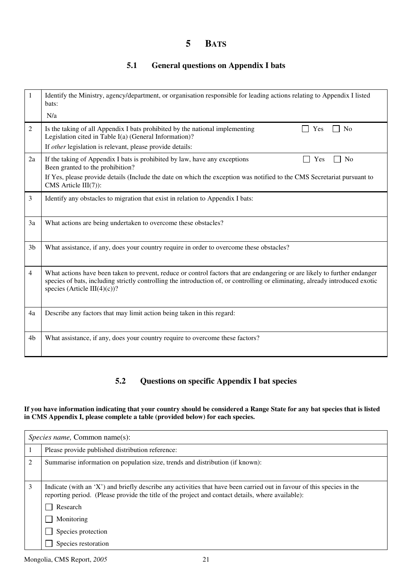## **5 BATS**

## **5.1 General questions on Appendix I bats**

|                | Identify the Ministry, agency/department, or organisation responsible for leading actions relating to Appendix I listed<br>bats:                                                                                                                                                           |
|----------------|--------------------------------------------------------------------------------------------------------------------------------------------------------------------------------------------------------------------------------------------------------------------------------------------|
|                | N/a                                                                                                                                                                                                                                                                                        |
| 2              | Is the taking of all Appendix I bats prohibited by the national implementing<br>N <sub>0</sub><br>Yes<br>Legislation cited in Table I(a) (General Information)?                                                                                                                            |
|                | If <i>other</i> legislation is relevant, please provide details:                                                                                                                                                                                                                           |
| 2a             | If the taking of Appendix I bats is prohibited by law, have any exceptions<br>N <sub>0</sub><br>Yes<br>Been granted to the prohibition?                                                                                                                                                    |
|                | If Yes, please provide details (Include the date on which the exception was notified to the CMS Secretariat pursuant to<br>CMS Article $III(7)$ :                                                                                                                                          |
| 3              | Identify any obstacles to migration that exist in relation to Appendix I bats:                                                                                                                                                                                                             |
| 3a             | What actions are being undertaken to overcome these obstacles?                                                                                                                                                                                                                             |
| 3 <sub>b</sub> | What assistance, if any, does your country require in order to overcome these obstacles?                                                                                                                                                                                                   |
| $\overline{4}$ | What actions have been taken to prevent, reduce or control factors that are endangering or are likely to further endanger<br>species of bats, including strictly controlling the introduction of, or controlling or eliminating, already introduced exotic<br>species (Article III(4)(c))? |
| 4a             | Describe any factors that may limit action being taken in this regard:                                                                                                                                                                                                                     |
| 4 <sub>b</sub> | What assistance, if any, does your country require to overcome these factors?                                                                                                                                                                                                              |

### **5.2 Questions on specific Appendix I bat species**

#### **If you have information indicating that your country should be considered a Range State for any bat species that is listed in CMS Appendix I, please complete a table (provided below) for each species.**

| <i>Species name, Common name(s):</i> |                                                                                                                                                                                                                                         |
|--------------------------------------|-----------------------------------------------------------------------------------------------------------------------------------------------------------------------------------------------------------------------------------------|
|                                      | Please provide published distribution reference:                                                                                                                                                                                        |
| 2                                    | Summarise information on population size, trends and distribution (if known):                                                                                                                                                           |
| 3                                    | Indicate (with an 'X') and briefly describe any activities that have been carried out in favour of this species in the<br>reporting period. (Please provide the title of the project and contact details, where available):<br>Research |
|                                      | Monitoring                                                                                                                                                                                                                              |
|                                      | Species protection                                                                                                                                                                                                                      |
|                                      | Species restoration                                                                                                                                                                                                                     |

Mongolia, CMS Report, *2005* 21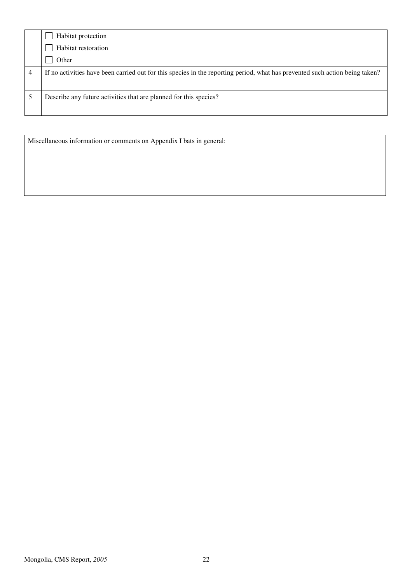|   | Habitat protection                                                                                                           |
|---|------------------------------------------------------------------------------------------------------------------------------|
|   | Habitat restoration                                                                                                          |
|   | Other                                                                                                                        |
| 4 | If no activities have been carried out for this species in the reporting period, what has prevented such action being taken? |
|   | Describe any future activities that are planned for this species?                                                            |

Miscellaneous information or comments on Appendix I bats in general: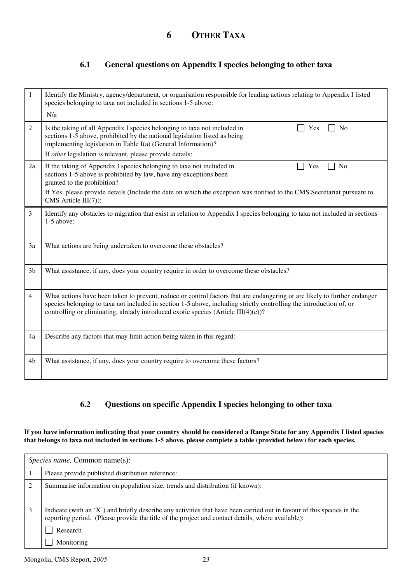### **6.1 General questions on Appendix I species belonging to other taxa**

| 1              | Identify the Ministry, agency/department, or organisation responsible for leading actions relating to Appendix I listed<br>species belonging to taxa not included in sections 1-5 above:<br>N/a                                                                                                                                           |
|----------------|-------------------------------------------------------------------------------------------------------------------------------------------------------------------------------------------------------------------------------------------------------------------------------------------------------------------------------------------|
| $\overline{2}$ | Is the taking of all Appendix I species belonging to taxa not included in<br>No<br>Yes<br>sections 1-5 above, prohibited by the national legislation listed as being<br>implementing legislation in Table I(a) (General Information)?                                                                                                     |
|                | If other legislation is relevant, please provide details:                                                                                                                                                                                                                                                                                 |
| 2a             | If the taking of Appendix I species belonging to taxa not included in<br>Yes<br>N <sub>o</sub><br>sections 1-5 above is prohibited by law, have any exceptions been<br>granted to the prohibition?                                                                                                                                        |
|                | If Yes, please provide details (Include the date on which the exception was notified to the CMS Secretariat pursuant to<br>CMS Article III(7)):                                                                                                                                                                                           |
| 3              | Identify any obstacles to migration that exist in relation to Appendix I species belonging to taxa not included in sections<br>$1-5$ above:                                                                                                                                                                                               |
| 3a             | What actions are being undertaken to overcome these obstacles?                                                                                                                                                                                                                                                                            |
| 3 <sub>b</sub> | What assistance, if any, does your country require in order to overcome these obstacles?                                                                                                                                                                                                                                                  |
| $\overline{4}$ | What actions have been taken to prevent, reduce or control factors that are endangering or are likely to further endanger<br>species belonging to taxa not included in section 1-5 above, including strictly controlling the introduction of, or<br>controlling or eliminating, already introduced exotic species (Article $III(4)(c)$ )? |
| 4a             | Describe any factors that may limit action being taken in this regard:                                                                                                                                                                                                                                                                    |
| 4b             | What assistance, if any, does your country require to overcome these factors?                                                                                                                                                                                                                                                             |

### **6.2 Questions on specific Appendix I species belonging to other taxa**

**If you have information indicating that your country should be considered a Range State for any Appendix I listed species that belongs to taxa not included in sections 1-5 above, please complete a table (provided below) for each species.** 

| <i>Species name, Common name(s):</i>                                                                                                                                                                                                    |  |
|-----------------------------------------------------------------------------------------------------------------------------------------------------------------------------------------------------------------------------------------|--|
| Please provide published distribution reference:                                                                                                                                                                                        |  |
| Summarise information on population size, trends and distribution (if known):                                                                                                                                                           |  |
| Indicate (with an 'X') and briefly describe any activities that have been carried out in favour of this species in the<br>reporting period. (Please provide the title of the project and contact details, where available):<br>Research |  |
| Monitoring                                                                                                                                                                                                                              |  |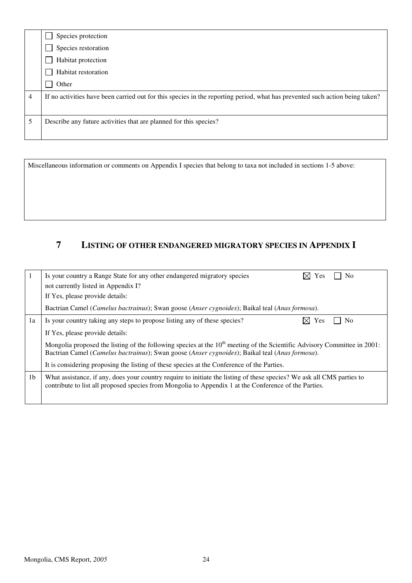|                | Species protection                                                                                                           |
|----------------|------------------------------------------------------------------------------------------------------------------------------|
|                | Species restoration                                                                                                          |
|                | Habitat protection                                                                                                           |
|                | Habitat restoration                                                                                                          |
|                | Other                                                                                                                        |
| $\overline{4}$ | If no activities have been carried out for this species in the reporting period, what has prevented such action being taken? |
| 5              | Describe any future activities that are planned for this species?                                                            |

Miscellaneous information or comments on Appendix I species that belong to taxa not included in sections 1-5 above:

# **7 LISTING OF OTHER ENDANGERED MIGRATORY SPECIES IN APPENDIX I**

|                | Is your country a Range State for any other endangered migratory species<br>Nο<br><i>Y</i> es<br>not currently listed in Appendix I?<br>If Yes, please provide details:                                                                |
|----------------|----------------------------------------------------------------------------------------------------------------------------------------------------------------------------------------------------------------------------------------|
|                | Bactrian Camel (Camelus bactrainus); Swan goose (Anser cygnoides); Baikal teal (Anas formosa).                                                                                                                                         |
| 1a             | N <sub>o</sub><br>Is your country taking any steps to propose listing any of these species?<br>Yes                                                                                                                                     |
|                | If Yes, please provide details:                                                                                                                                                                                                        |
|                | Mongolia proposed the listing of the following species at the 10 <sup>th</sup> meeting of the Scientific Advisory Committee in 2001:<br>Bactrian Camel (Camelus bactrainus); Swan goose (Anser cygnoides); Baikal teal (Anas formosa). |
|                | It is considering proposing the listing of these species at the Conference of the Parties.                                                                                                                                             |
| 1 <sub>b</sub> | What assistance, if any, does your country require to initiate the listing of these species? We ask all CMS parties to<br>contribute to list all proposed species from Mongolia to Appendix 1 at the Conference of the Parties.        |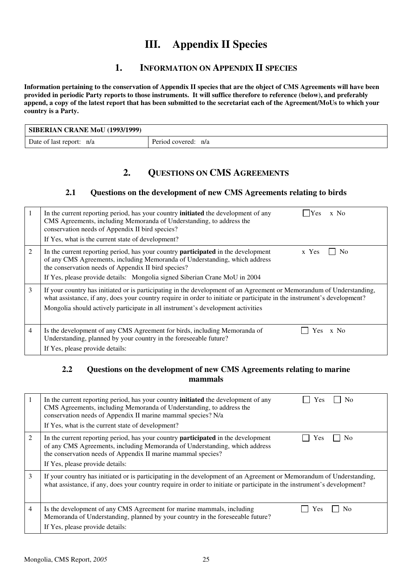# **III. Appendix II Species**

## **1. INFORMATION ON APPENDIX II SPECIES**

**Information pertaining to the conservation of Appendix II species that are the object of CMS Agreements will have been provided in periodic Party reports to those instruments. It will suffice therefore to reference (below), and preferably append, a copy of the latest report that has been submitted to the secretariat each of the Agreement/MoUs to which your country is a Party.** 

| SIBERIAN CRANE MoU (1993/1999) |                     |
|--------------------------------|---------------------|
| Date of last report: n/a       | Period covered: n/a |

## **2. QUESTIONS ON CMS AGREEMENTS**

#### **2.1 Questions on the development of new CMS Agreements relating to birds**

|   | In the current reporting period, has your country <b>initiated</b> the development of any<br><b>IYes</b><br>$x$ No<br>CMS Agreements, including Memoranda of Understanding, to address the<br>conservation needs of Appendix II bird species?<br>If Yes, what is the current state of development?                                     |
|---|----------------------------------------------------------------------------------------------------------------------------------------------------------------------------------------------------------------------------------------------------------------------------------------------------------------------------------------|
| 2 | In the current reporting period, has your country <b>participated</b> in the development<br>x Yes<br>N <sub>o</sub><br>of any CMS Agreements, including Memoranda of Understanding, which address<br>the conservation needs of Appendix II bird species?<br>If Yes, please provide details: Mongolia signed Siberian Crane MoU in 2004 |
| 3 | If your country has initiated or is participating in the development of an Agreement or Memorandum of Understanding,<br>what assistance, if any, does your country require in order to initiate or participate in the instrument's development?<br>Mongolia should actively participate in all instrument's development activities     |
| 4 | Is the development of any CMS Agreement for birds, including Memoranda of<br>Yes x No<br>Understanding, planned by your country in the foreseeable future?<br>If Yes, please provide details:                                                                                                                                          |

#### **2.2 Questions on the development of new CMS Agreements relating to marine mammals**

|   | In the current reporting period, has your country <b>initiated</b> the development of any<br>N <sub>0</sub><br>Yes<br>CMS Agreements, including Memoranda of Understanding, to address the<br>conservation needs of Appendix II marine mammal species? N/a<br>If Yes, what is the current state of development? |
|---|-----------------------------------------------------------------------------------------------------------------------------------------------------------------------------------------------------------------------------------------------------------------------------------------------------------------|
| 2 | In the current reporting period, has your country <b>participated</b> in the development<br>Yes<br>N <sub>0</sub><br>of any CMS Agreements, including Memoranda of Understanding, which address<br>the conservation needs of Appendix II marine mammal species?<br>If Yes, please provide details:              |
| 3 | If your country has initiated or is participating in the development of an Agreement or Memorandum of Understanding,<br>what assistance, if any, does your country require in order to initiate or participate in the instrument's development?                                                                 |
| 4 | Is the development of any CMS Agreement for marine mammals, including<br>No<br>Y es<br>Memoranda of Understanding, planned by your country in the foreseeable future?<br>If Yes, please provide details:                                                                                                        |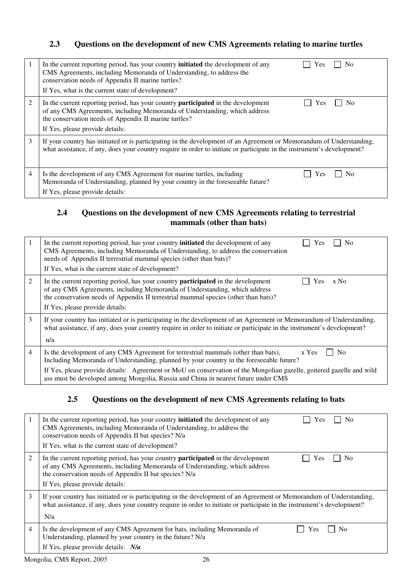## **2.3 Questions on the development of new CMS Agreements relating to marine turtles**

| 1 | In the current reporting period, has your country <b>initiated</b> the development of any<br>Nο<br><b>Yes</b><br>CMS Agreements, including Memoranda of Understanding, to address the<br>conservation needs of Appendix II marine turtles?<br>If Yes, what is the current state of development? |
|---|-------------------------------------------------------------------------------------------------------------------------------------------------------------------------------------------------------------------------------------------------------------------------------------------------|
| 2 | In the current reporting period, has your country <b>participated</b> in the development<br>Nο<br>Yes<br>of any CMS Agreements, including Memoranda of Understanding, which address<br>the conservation needs of Appendix II marine turtles?<br>If Yes, please provide details:                 |
| 3 | If your country has initiated or is participating in the development of an Agreement or Memorandum of Understanding,<br>what assistance, if any, does your country require in order to initiate or participate in the instrument's development?                                                 |
| 4 | Is the development of any CMS Agreement for marine turtles, including<br>Yes<br>Nο<br>Memoranda of Understanding, planned by your country in the foreseeable future?<br>If Yes, please provide details:                                                                                         |

## **2.4 Questions on the development of new CMS Agreements relating to terrestrial mammals (other than bats)**

|   | In the current reporting period, has your country <b>initiated</b> the development of any<br><b>No</b><br>Yes<br>CMS Agreements, including Memoranda of Understanding, to address the conservation<br>needs of Appendix II terrestrial mammal species (other than bats)?<br>If Yes, what is the current state of development?                                                                               |  |  |  |  |
|---|-------------------------------------------------------------------------------------------------------------------------------------------------------------------------------------------------------------------------------------------------------------------------------------------------------------------------------------------------------------------------------------------------------------|--|--|--|--|
| 2 | In the current reporting period, has your country <b>participated</b> in the development<br>x No<br>Yes<br>of any CMS Agreements, including Memoranda of Understanding, which address<br>the conservation needs of Appendix II terrestrial mammal species (other than bats)?<br>If Yes, please provide details:                                                                                             |  |  |  |  |
| 3 | If your country has initiated or is participating in the development of an Agreement or Memorandum of Understanding,<br>what assistance, if any, does your country require in order to initiate or participate in the instrument's development?<br>n/a                                                                                                                                                      |  |  |  |  |
| 4 | Is the development of any CMS Agreement for terrestrial mammals (other than bats),<br>x Yes<br>No<br>Including Memoranda of Understanding, planned by your country in the foreseeable future?<br>If Yes, please provide details: Agreement or MoU on conservation of the Mongolian gazelle, goitered gazelle and wild<br>ass must be developed among Mongolia, Russia and China in nearest future under CMS |  |  |  |  |

## **2.5 Questions on the development of new CMS Agreements relating to bats**

| 1 | In the current reporting period, has your country <b>initiated</b> the development of any<br>N <sub>0</sub><br><b>Yes</b><br>CMS Agreements, including Memoranda of Understanding, to address the<br>conservation needs of Appendix II bat species? N/a<br>If Yes, what is the current state of development? |  |  |  |
|---|--------------------------------------------------------------------------------------------------------------------------------------------------------------------------------------------------------------------------------------------------------------------------------------------------------------|--|--|--|
| 2 | In the current reporting period, has your country <b>participated</b> in the development<br>Yes<br>No<br>of any CMS Agreements, including Memoranda of Understanding, which address<br>the conservation needs of Appendix II bat species? N/a<br>If Yes, please provide details:                             |  |  |  |
| 3 | If your country has initiated or is participating in the development of an Agreement or Memorandum of Understanding,<br>what assistance, if any, does your country require in order to initiate or participate in the instrument's development?<br>N/a                                                       |  |  |  |
| 4 | Is the development of any CMS Agreement for bats, including Memoranda of<br>No<br>Y es<br>Understanding, planned by your country in the future? N/a<br>If Yes, please provide details: $N/a$                                                                                                                 |  |  |  |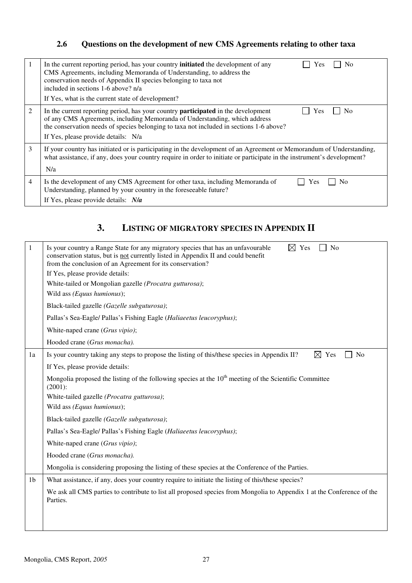# **2.6 Questions on the development of new CMS Agreements relating to other taxa**

| -1 | In the current reporting period, has your country <b>initiated</b> the development of any<br><b>Yes</b><br>N <sub>0</sub><br>CMS Agreements, including Memoranda of Understanding, to address the<br>conservation needs of Appendix II species belonging to taxa not<br>included in sections 1-6 above? n/a<br>If Yes, what is the current state of development? |
|----|------------------------------------------------------------------------------------------------------------------------------------------------------------------------------------------------------------------------------------------------------------------------------------------------------------------------------------------------------------------|
| 2  | In the current reporting period, has your country <b>participated</b> in the development<br>N <sub>0</sub><br>Yes<br>of any CMS Agreements, including Memoranda of Understanding, which address<br>the conservation needs of species belonging to taxa not included in sections 1-6 above?<br>If Yes, please provide details: N/a                                |
| 3  | If your country has initiated or is participating in the development of an Agreement or Memorandum of Understanding,<br>what assistance, if any, does your country require in order to initiate or participate in the instrument's development?<br>N/a                                                                                                           |
| 4  | Is the development of any CMS Agreement for other taxa, including Memoranda of<br>No<br>Yes<br>Understanding, planned by your country in the foreseeable future?<br>If Yes, please provide details: $N/a$                                                                                                                                                        |

# **3. LISTING OF MIGRATORY SPECIES IN APPENDIX II**

| 1              | $\boxtimes$ Yes<br>Is your country a Range State for any migratory species that has an unfavourable<br>No<br>conservation status, but is not currently listed in Appendix II and could benefit<br>from the conclusion of an Agreement for its conservation? |  |  |  |  |  |  |  |
|----------------|-------------------------------------------------------------------------------------------------------------------------------------------------------------------------------------------------------------------------------------------------------------|--|--|--|--|--|--|--|
|                | If Yes, please provide details:                                                                                                                                                                                                                             |  |  |  |  |  |  |  |
|                | White-tailed or Mongolian gazelle (Procatra gutturosa);                                                                                                                                                                                                     |  |  |  |  |  |  |  |
|                | Wild ass (Equus humionus);                                                                                                                                                                                                                                  |  |  |  |  |  |  |  |
|                | Black-tailed gazelle (Gazelle subguturosa);                                                                                                                                                                                                                 |  |  |  |  |  |  |  |
|                | Pallas's Sea-Eagle/ Pallas's Fishing Eagle (Haliaeetus leucoryphus);                                                                                                                                                                                        |  |  |  |  |  |  |  |
|                | White-naped crane (Grus vipio);                                                                                                                                                                                                                             |  |  |  |  |  |  |  |
|                | Hooded crane (Grus monacha).                                                                                                                                                                                                                                |  |  |  |  |  |  |  |
| 1a             | Is your country taking any steps to propose the listing of this/these species in Appendix II?<br>Yes<br>N <sub>o</sub><br>⊠                                                                                                                                 |  |  |  |  |  |  |  |
|                | If Yes, please provide details:                                                                                                                                                                                                                             |  |  |  |  |  |  |  |
|                | Mongolia proposed the listing of the following species at the $10th$ meeting of the Scientific Committee<br>$(2001)$ :                                                                                                                                      |  |  |  |  |  |  |  |
|                | White-tailed gazelle (Procatra gutturosa);                                                                                                                                                                                                                  |  |  |  |  |  |  |  |
|                | Wild ass (Equus humionus);                                                                                                                                                                                                                                  |  |  |  |  |  |  |  |
|                | Black-tailed gazelle (Gazelle subguturosa);                                                                                                                                                                                                                 |  |  |  |  |  |  |  |
|                | Pallas's Sea-Eagle/ Pallas's Fishing Eagle (Haliaeetus leucoryphus);                                                                                                                                                                                        |  |  |  |  |  |  |  |
|                | White-naped crane (Grus vipio);                                                                                                                                                                                                                             |  |  |  |  |  |  |  |
|                | Hooded crane (Grus monacha).                                                                                                                                                                                                                                |  |  |  |  |  |  |  |
|                | Mongolia is considering proposing the listing of these species at the Conference of the Parties.                                                                                                                                                            |  |  |  |  |  |  |  |
| 1 <sub>b</sub> | What assistance, if any, does your country require to initiate the listing of this/these species?                                                                                                                                                           |  |  |  |  |  |  |  |
|                | We ask all CMS parties to contribute to list all proposed species from Mongolia to Appendix 1 at the Conference of the<br>Parties.                                                                                                                          |  |  |  |  |  |  |  |
|                |                                                                                                                                                                                                                                                             |  |  |  |  |  |  |  |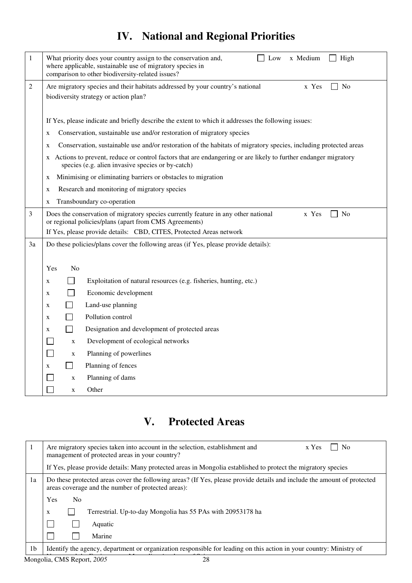# **IV. National and Regional Priorities**

| 1  | x Medium<br>What priority does your country assign to the conservation and,<br>Low<br>High<br>where applicable, sustainable use of migratory species in<br>comparison to other biodiversity-related issues? |  |  |  |  |  |  |  |
|----|-------------------------------------------------------------------------------------------------------------------------------------------------------------------------------------------------------------|--|--|--|--|--|--|--|
| 2  | No<br>Are migratory species and their habitats addressed by your country's national<br>x Yes<br>biodiversity strategy or action plan?                                                                       |  |  |  |  |  |  |  |
|    | If Yes, please indicate and briefly describe the extent to which it addresses the following issues:                                                                                                         |  |  |  |  |  |  |  |
|    | Conservation, sustainable use and/or restoration of migratory species<br>X                                                                                                                                  |  |  |  |  |  |  |  |
|    | Conservation, sustainable use and/or restoration of the habitats of migratory species, including protected areas<br>X                                                                                       |  |  |  |  |  |  |  |
|    | x Actions to prevent, reduce or control factors that are endangering or are likely to further endanger migratory<br>species (e.g. alien invasive species or by-catch)                                       |  |  |  |  |  |  |  |
|    | Minimising or eliminating barriers or obstacles to migration<br>X                                                                                                                                           |  |  |  |  |  |  |  |
|    | Research and monitoring of migratory species<br>X                                                                                                                                                           |  |  |  |  |  |  |  |
|    | Transboundary co-operation<br>X                                                                                                                                                                             |  |  |  |  |  |  |  |
| 3  | Does the conservation of migratory species currently feature in any other national<br>$\Box$ No<br>x Yes<br>or regional policies/plans (apart from CMS Agreements)                                          |  |  |  |  |  |  |  |
|    | If Yes, please provide details: CBD, CITES, Protected Areas network                                                                                                                                         |  |  |  |  |  |  |  |
| 3a | Do these policies/plans cover the following areas (if Yes, please provide details):                                                                                                                         |  |  |  |  |  |  |  |
|    |                                                                                                                                                                                                             |  |  |  |  |  |  |  |
|    | N <sub>0</sub><br>Yes                                                                                                                                                                                       |  |  |  |  |  |  |  |
|    | Exploitation of natural resources (e.g. fisheries, hunting, etc.)<br>X                                                                                                                                      |  |  |  |  |  |  |  |
|    | Economic development<br>X                                                                                                                                                                                   |  |  |  |  |  |  |  |
|    | Land-use planning<br>X                                                                                                                                                                                      |  |  |  |  |  |  |  |
|    | Pollution control<br>X                                                                                                                                                                                      |  |  |  |  |  |  |  |
|    | Designation and development of protected areas<br>X                                                                                                                                                         |  |  |  |  |  |  |  |
|    | Development of ecological networks<br>$\mathbf X$                                                                                                                                                           |  |  |  |  |  |  |  |
|    | Planning of powerlines<br>×.<br>$\mathbf X$                                                                                                                                                                 |  |  |  |  |  |  |  |
|    | Planning of fences<br>X                                                                                                                                                                                     |  |  |  |  |  |  |  |
|    | Planning of dams<br>X                                                                                                                                                                                       |  |  |  |  |  |  |  |
|    | Other<br>X                                                                                                                                                                                                  |  |  |  |  |  |  |  |

# **V. Protected Areas**

|                | N <sub>0</sub><br>Are migratory species taken into account in the selection, establishment and<br>x Yes<br>management of protected areas in your country?                     |  |  |  |  |  |  |  |
|----------------|-------------------------------------------------------------------------------------------------------------------------------------------------------------------------------|--|--|--|--|--|--|--|
|                | If Yes, please provide details: Many protected areas in Mongolia established to protect the migratory species                                                                 |  |  |  |  |  |  |  |
| 1a             | Do these protected areas cover the following areas? (If Yes, please provide details and include the amount of protected<br>areas coverage and the number of protected areas): |  |  |  |  |  |  |  |
|                | <b>Yes</b><br>N <sub>0</sub>                                                                                                                                                  |  |  |  |  |  |  |  |
|                | Terrestrial. Up-to-day Mongolia has 55 PAs with 20953178 ha<br>X                                                                                                              |  |  |  |  |  |  |  |
|                | Aquatic                                                                                                                                                                       |  |  |  |  |  |  |  |
|                | Marine                                                                                                                                                                        |  |  |  |  |  |  |  |
| 1 <sub>b</sub> | Identify the agency, department or organization responsible for leading on this action in your country: Ministry of                                                           |  |  |  |  |  |  |  |

Mongolia, CMS Report, 2005 28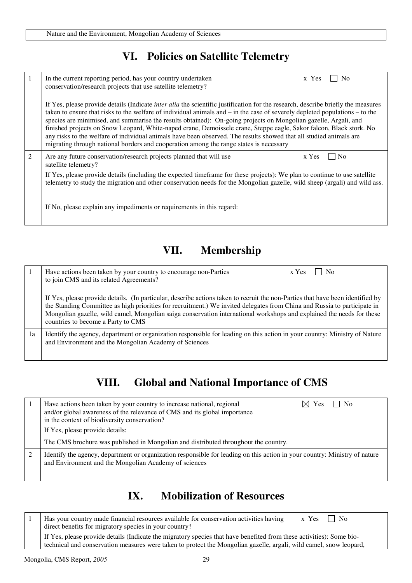# **VI. Policies on Satellite Telemetry**

| $\overline{1}$ | In the current reporting period, has your country undertaken<br>x Yes<br>N <sub>0</sub><br>conservation/research projects that use satellite telemetry?                                                                                                                                                                                                                                                                                                                                                                                                                                                                                                                                                                              |
|----------------|--------------------------------------------------------------------------------------------------------------------------------------------------------------------------------------------------------------------------------------------------------------------------------------------------------------------------------------------------------------------------------------------------------------------------------------------------------------------------------------------------------------------------------------------------------------------------------------------------------------------------------------------------------------------------------------------------------------------------------------|
|                | If Yes, please provide details (Indicate <i>inter alia</i> the scientific justification for the research, describe briefly the measures<br>taken to ensure that risks to the welfare of individual animals and $-$ in the case of severely depleted populations $-$ to the<br>species are minimised, and summarise the results obtained): On-going projects on Mongolian gazelle, Argali, and<br>finished projects on Snow Leopard, White-naped crane, Demoissele crane, Steppe eagle, Sakor falcon, Black stork. No<br>any risks to the welfare of individual animals have been observed. The results showed that all studied animals are<br>migrating through national borders and cooperation among the range states is necessary |
| 2              | Are any future conservation/research projects planned that will use<br>x Yes<br>N <sub>0</sub><br>satellite telemetry?                                                                                                                                                                                                                                                                                                                                                                                                                                                                                                                                                                                                               |
|                | If Yes, please provide details (including the expected timeframe for these projects): We plan to continue to use satellite<br>telemetry to study the migration and other conservation needs for the Mongolian gazelle, wild sheep (argali) and wild ass.                                                                                                                                                                                                                                                                                                                                                                                                                                                                             |
|                | If No, please explain any impediments or requirements in this regard:                                                                                                                                                                                                                                                                                                                                                                                                                                                                                                                                                                                                                                                                |

# **VII. Membership**

|    | Have actions been taken by your country to encourage non-Parties<br>    No<br>x Yes<br>to join CMS and its related Agreements?                                                                                                                                                                                                                                                                                            |
|----|---------------------------------------------------------------------------------------------------------------------------------------------------------------------------------------------------------------------------------------------------------------------------------------------------------------------------------------------------------------------------------------------------------------------------|
|    | If Yes, please provide details. (In particular, describe actions taken to recruit the non-Parties that have been identified by<br>the Standing Committee as high priorities for recruitment.) We invited delegates from China and Russia to participate in<br>Mongolian gazelle, wild camel, Mongolian saiga conservation international workshops and explained the needs for these<br>countries to become a Party to CMS |
| 1a | Identify the agency, department or organization responsible for leading on this action in your country: Ministry of Nature<br>and Environment and the Mongolian Academy of Sciences                                                                                                                                                                                                                                       |

# **VIII. Global and National Importance of CMS**

| Have actions been taken by your country to increase national, regional<br>$\overline{\phantom{1}}$ No<br>$\boxtimes$ Yes<br>and/or global awareness of the relevance of CMS and its global importance<br>in the context of biodiversity conservation?<br>If Yes, please provide details: |
|------------------------------------------------------------------------------------------------------------------------------------------------------------------------------------------------------------------------------------------------------------------------------------------|
| The CMS brochure was published in Mongolian and distributed throughout the country.                                                                                                                                                                                                      |
| Identify the agency, department or organization responsible for leading on this action in your country: Ministry of nature<br>and Environment and the Mongolian Academy of sciences                                                                                                      |

# **IX. Mobilization of Resources**

| Has your country made financial resources available for conservation activities having<br>$x \text{Yes} \mid \text{No}$<br>direct benefits for migratory species in your country?                                                          |
|--------------------------------------------------------------------------------------------------------------------------------------------------------------------------------------------------------------------------------------------|
| If Yes, please provide details (Indicate the migratory species that have benefited from these activities): Some bio-<br>technical and conservation measures were taken to protect the Mongolian gazelle, argali, wild camel, snow leopard, |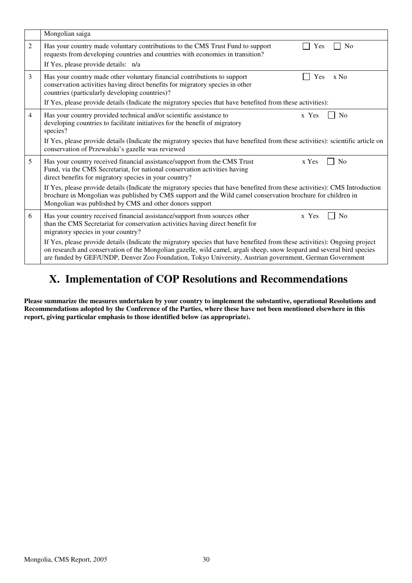|                | Mongolian saiga                                                                                                                                                                                                                                                                                                                                                 |  |  |  |  |  |
|----------------|-----------------------------------------------------------------------------------------------------------------------------------------------------------------------------------------------------------------------------------------------------------------------------------------------------------------------------------------------------------------|--|--|--|--|--|
| 2              | Has your country made voluntary contributions to the CMS Trust Fund to support<br>N <sub>0</sub><br>Yes<br>requests from developing countries and countries with economies in transition?                                                                                                                                                                       |  |  |  |  |  |
|                | If Yes, please provide details: n/a                                                                                                                                                                                                                                                                                                                             |  |  |  |  |  |
| 3              | Has your country made other voluntary financial contributions to support<br>Yes<br>$x$ No<br>conservation activities having direct benefits for migratory species in other<br>countries (particularly developing countries)?                                                                                                                                    |  |  |  |  |  |
|                | If Yes, please provide details (Indicate the migratory species that have benefited from these activities):                                                                                                                                                                                                                                                      |  |  |  |  |  |
| $\overline{4}$ | Has your country provided technical and/or scientific assistance to<br>x Yes<br>N <sub>0</sub><br>developing countries to facilitate initiatives for the benefit of migratory<br>species?                                                                                                                                                                       |  |  |  |  |  |
|                | If Yes, please provide details (Indicate the migratory species that have benefited from these activities): scientific article on<br>conservation of Przewalski's gazelle was reviewed                                                                                                                                                                           |  |  |  |  |  |
| 5              | Has your country received financial assistance/support from the CMS Trust<br>x Yes<br>No<br>Fund, via the CMS Secretariat, for national conservation activities having<br>direct benefits for migratory species in your country?                                                                                                                                |  |  |  |  |  |
|                | If Yes, please provide details (Indicate the migratory species that have benefited from these activities): CMS Introduction<br>brochure in Mongolian was published by CMS support and the Wild camel conservation brochure for children in<br>Mongolian was published by CMS and other donors support                                                           |  |  |  |  |  |
| 6              | Has your country received financial assistance/support from sources other<br>x Yes<br>N <sub>o</sub><br>than the CMS Secretariat for conservation activities having direct benefit for<br>migratory species in your country?                                                                                                                                    |  |  |  |  |  |
|                | If Yes, please provide details (Indicate the migratory species that have benefited from these activities): Ongoing project<br>on research and conservation of the Mongolian gazelle, wild camel, argali sheep, snow leopard and several bird species<br>are funded by GEF/UNDP, Denver Zoo Foundation, Tokyo University, Austrian government, German Government |  |  |  |  |  |

# **X. Implementation of COP Resolutions and Recommendations**

**Please summarize the measures undertaken by your country to implement the substantive, operational Resolutions and Recommendations adopted by the Conference of the Parties, where these have not been mentioned elsewhere in this report, giving particular emphasis to those identified below (as appropriate).**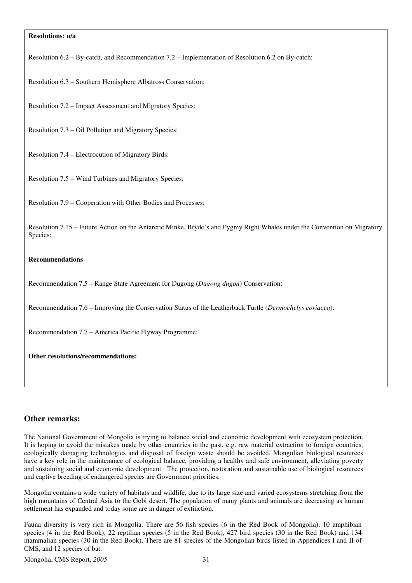#### **Resolutions: n/a**

Resolution 6.2 – By-catch, and Recommendation 7.2 – Implementation of Resolution 6.2 on By-catch:

Resolution 6.3 – Southern Hemisphere Albatross Conservation:

Resolution 7.2 – Impact Assessment and Migratory Species:

Resolution 7.3 – Oil Pollution and Migratory Species:

Resolution 7.4 – Electrocution of Migratory Birds:

Resolution 7.5 – Wind Turbines and Migratory Species:

Resolution 7.9 – Cooperation with Other Bodies and Processes:

Resolution 7.15 – Future Action on the Antarctic Minke, Bryde's and Pygmy Right Whales under the Convention on Migratory Species:

#### **Recommendations**

Recommendation 7.5 – Range State Agreement for Dugong (*Dugong dugon*) Conservation:

Recommendation 7.6 – Improving the Conservation Status of the Leatherback Turtle (*Dermochelys coriacea*):

Recommendation 7.7 – America Pacific Flyway Programme:

**Other resolutions/recommendations:**

#### **Other remarks:**

The National Government of Mongolia is trying to balance social and economic development with ecosystem protection. It is hoping to avoid the mistakes made by other countries in the past, e.g. raw material extraction to foreign countries, ecologically damaging technologies and disposal of foreign waste should be avoided. Mongolian biological resources have a key role in the maintenance of ecological balance, providing a healthy and safe environment, alleviating poverty and sustaining social and economic development. The protection, restoration and sustainable use of biological resources and captive breeding of endangered species are Government priorities.

Mongolia contains a wide variety of habitats and wildlife, due to its large size and varied ecosystems stretching from the high mountains of Central Asia to the Gobi desert. The population of many plants and animals are decreasing as human settlement has expanded and today some are in danger of extinction.

Fauna diversity is very rich in Mongolia. There are 56 fish species (6 in the Red Book of Mongolia), 10 amphibian species (4 in the Red Book), 22 reptilian species (5 in the Red Book), 427 bird species (30 in the Red Book) and 134 mammalian species (30 in the Red Book). There are 81 species of the Mongolian birds listed in Appendices I and II of CMS, and 12 species of bat.

Mongolia, CMS Report, *2005* 31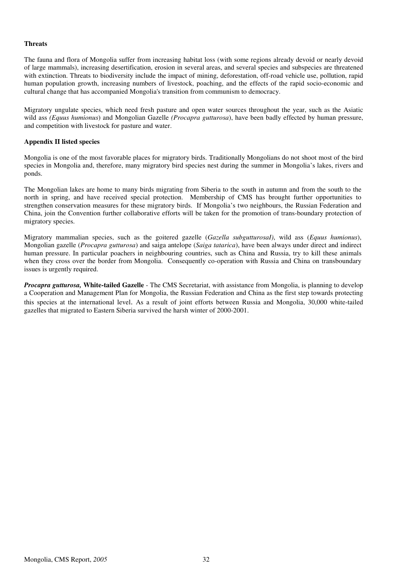#### **Threats**

The fauna and flora of Mongolia suffer from increasing habitat loss (with some regions already devoid or nearly devoid of large mammals), increasing desertification, erosion in several areas, and several species and subspecies are threatened with extinction. Threats to biodiversity include the impact of mining, deforestation, off-road vehicle use, pollution, rapid human population growth, increasing numbers of livestock, poaching, and the effects of the rapid socio-economic and cultural change that has accompanied Mongolia's transition from communism to democracy.

Migratory ungulate species, which need fresh pasture and open water sources throughout the year, such as the Asiatic wild ass *(Equus humionus*) and Mongolian Gazelle *(Procapra gutturosa*), have been badly effected by human pressure, and competition with livestock for pasture and water.

#### **Appendix II listed species**

Mongolia is one of the most favorable places for migratory birds. Traditionally Mongolians do not shoot most of the bird species in Mongolia and, therefore, many migratory bird species nest during the summer in Mongolia's lakes, rivers and ponds.

The Mongolian lakes are home to many birds migrating from Siberia to the south in autumn and from the south to the north in spring, and have received special protection. Membership of CMS has brought further opportunities to strengthen conservation measures for these migratory birds. If Mongolia's two neighbours, the Russian Federation and China, join the Convention further collaborative efforts will be taken for the promotion of trans-boundary protection of migratory species.

Migratory mammalian species, such as the goitered gazelle (*Gazella subgutturosaI)*, wild ass (*Equus humionus*), Mongolian gazelle (*Procapra gutturosa*) and saiga antelope (*Saiga tatarica*), have been always under direct and indirect human pressure. In particular poachers in neighbouring countries, such as China and Russia, try to kill these animals when they cross over the border from Mongolia. Consequently co-operation with Russia and China on transboundary issues is urgently required.

*Procapra gutturosa,* **White-tailed Gazelle** - The CMS Secretariat, with assistance from Mongolia, is planning to develop a Cooperation and Management Plan for Mongolia, the Russian Federation and China as the first step towards protecting this species at the international level. As a result of joint efforts between Russia and Mongolia, 30,000 white-tailed gazelles that migrated to Eastern Siberia survived the harsh winter of 2000-2001.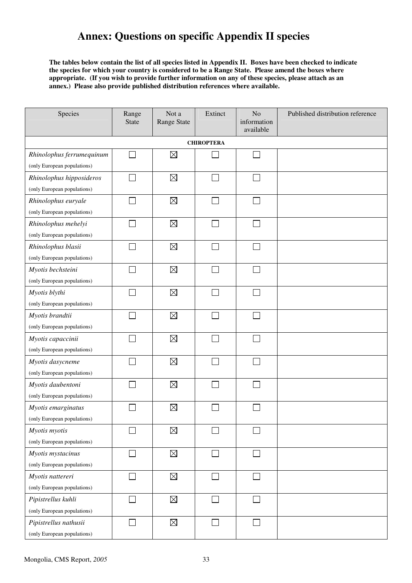# **Annex: Questions on specific Appendix II species**

**The tables below contain the list of all species listed in Appendix II. Boxes have been checked to indicate the species for which your country is considered to be a Range State. Please amend the boxes where appropriate. (If you wish to provide further information on any of these species, please attach as an annex.) Please also provide published distribution references where available.** 

| Species                     | Range<br><b>State</b>       | Not a<br><b>Range State</b> | Extinct                     | N <sub>o</sub><br>information<br>available | Published distribution reference |
|-----------------------------|-----------------------------|-----------------------------|-----------------------------|--------------------------------------------|----------------------------------|
|                             |                             |                             | <b>CHIROPTERA</b>           |                                            |                                  |
| Rhinolophus ferrumequinum   | s.                          | $\boxtimes$                 |                             | $\mathcal{L}_{\mathcal{A}}$                |                                  |
| (only European populations) |                             |                             |                             |                                            |                                  |
| Rhinolophus hipposideros    |                             | $\boxtimes$                 | ٦                           | $\Box$                                     |                                  |
| (only European populations) |                             |                             |                             |                                            |                                  |
| Rhinolophus euryale         |                             | $\boxtimes$                 |                             | П                                          |                                  |
| (only European populations) |                             |                             |                             |                                            |                                  |
| Rhinolophus mehelyi         |                             | $\boxtimes$                 |                             | $\sim$                                     |                                  |
| (only European populations) |                             |                             |                             |                                            |                                  |
| Rhinolophus blasii          |                             | $\boxtimes$                 | ri                          | $\mathbf{I}$                               |                                  |
| (only European populations) |                             |                             |                             |                                            |                                  |
| Myotis bechsteini           |                             | $\boxtimes$                 | $\mathcal{L}_{\mathcal{A}}$ | П                                          |                                  |
| (only European populations) |                             |                             |                             |                                            |                                  |
| Myotis blythi               |                             | $\boxtimes$                 |                             |                                            |                                  |
| (only European populations) |                             |                             |                             |                                            |                                  |
| Myotis brandtii             |                             | $\boxtimes$                 |                             |                                            |                                  |
| (only European populations) |                             |                             |                             |                                            |                                  |
| Myotis capaccinii           |                             | $\boxtimes$                 | ×.                          | $\sim$                                     |                                  |
| (only European populations) |                             |                             |                             |                                            |                                  |
| Myotis dasycneme            |                             | $\boxtimes$                 | ×.                          | T.                                         |                                  |
| (only European populations) |                             |                             |                             |                                            |                                  |
| Myotis daubentoni           |                             | $\boxtimes$                 |                             |                                            |                                  |
| (only European populations) |                             |                             |                             |                                            |                                  |
| Myotis emarginatus          |                             | $\boxtimes$                 |                             |                                            |                                  |
| (only European populations) |                             |                             |                             |                                            |                                  |
| Myotis myotis               |                             | $\boxtimes$                 |                             |                                            |                                  |
| (only European populations) |                             |                             |                             |                                            |                                  |
| Myotis mystacinus           | $\mathcal{L}_{\mathcal{A}}$ | $\boxtimes$                 | $\Box$                      | П                                          |                                  |
| (only European populations) |                             |                             |                             |                                            |                                  |
| Myotis nattereri            |                             | $\boxtimes$                 |                             |                                            |                                  |
| (only European populations) |                             |                             |                             |                                            |                                  |
| Pipistrellus kuhli          |                             | $\boxtimes$                 | $\Box$                      | $\sim$                                     |                                  |
| (only European populations) |                             |                             |                             |                                            |                                  |
| Pipistrellus nathusii       |                             | $\boxtimes$                 | $\mathcal{L}_{\mathcal{A}}$ | $\Box$                                     |                                  |
| (only European populations) |                             |                             |                             |                                            |                                  |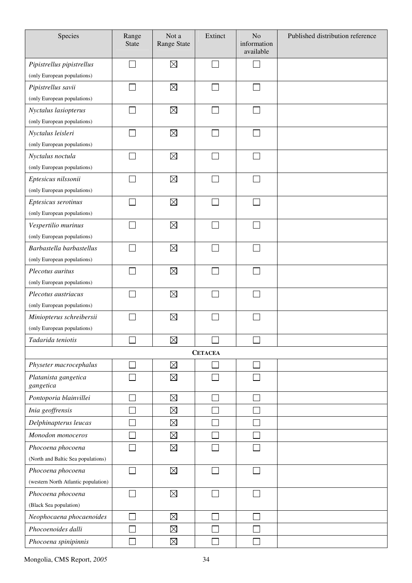| Species                             | Range<br><b>State</b> | Not a<br>Range State | Extinct                     | No<br>information<br>available | Published distribution reference |
|-------------------------------------|-----------------------|----------------------|-----------------------------|--------------------------------|----------------------------------|
| Pipistrellus pipistrellus           |                       | $\boxtimes$          | $\Box$                      |                                |                                  |
| (only European populations)         |                       |                      |                             |                                |                                  |
| Pipistrellus savii                  |                       | $\boxtimes$          |                             |                                |                                  |
| (only European populations)         |                       |                      |                             |                                |                                  |
| Nyctalus lasiopterus                |                       | $\boxtimes$          | $\mathcal{L}_{\mathcal{A}}$ |                                |                                  |
| (only European populations)         |                       |                      |                             |                                |                                  |
| Nyctalus leisleri                   |                       | $\boxtimes$          |                             |                                |                                  |
| (only European populations)         |                       |                      |                             |                                |                                  |
| Nyctalus noctula                    |                       | $\boxtimes$          |                             |                                |                                  |
| (only European populations)         |                       |                      |                             |                                |                                  |
| Eptesicus nilssonii                 |                       | $\boxtimes$          |                             |                                |                                  |
| (only European populations)         |                       |                      |                             |                                |                                  |
| Eptesicus serotinus                 |                       | $\boxtimes$          |                             |                                |                                  |
| (only European populations)         |                       |                      |                             |                                |                                  |
| Vespertilio murinus                 |                       | $\boxtimes$          |                             |                                |                                  |
| (only European populations)         |                       |                      |                             |                                |                                  |
| Barbastella barbastellus            |                       | $\boxtimes$          |                             |                                |                                  |
| (only European populations)         |                       |                      |                             |                                |                                  |
| Plecotus auritus                    |                       | $\boxtimes$          |                             |                                |                                  |
| (only European populations)         |                       |                      |                             |                                |                                  |
| Plecotus austriacus                 |                       | $\boxtimes$          |                             |                                |                                  |
| (only European populations)         |                       |                      |                             |                                |                                  |
| Miniopterus schreibersii            |                       | $\boxtimes$          |                             |                                |                                  |
| (only European populations)         |                       |                      |                             |                                |                                  |
| Tadarida teniotis                   | $\Box$                | $\boxtimes$          | $\Box$                      | $\Box$                         |                                  |
|                                     |                       |                      | <b>CETACEA</b>              |                                |                                  |
| Physeter macrocephalus              |                       | $\boxtimes$          |                             |                                |                                  |
| Platanista gangetica<br>gangetica   |                       | $\boxtimes$          | Γ                           |                                |                                  |
| Pontoporia blainvillei              |                       | $\boxtimes$          |                             |                                |                                  |
| Inia geoffrensis                    |                       | $\boxtimes$          |                             |                                |                                  |
| Delphinapterus leucas               |                       | $\boxtimes$          |                             |                                |                                  |
| Monodon monoceros                   |                       | $\boxtimes$          |                             |                                |                                  |
| Phocoena phocoena                   |                       | $\boxtimes$          |                             |                                |                                  |
| (North and Baltic Sea populations)  |                       |                      |                             |                                |                                  |
| Phocoena phocoena                   |                       | $\boxtimes$          |                             |                                |                                  |
| (western North Atlantic population) |                       |                      |                             |                                |                                  |
| Phocoena phocoena                   |                       | $\boxtimes$          |                             |                                |                                  |
| (Black Sea population)              |                       |                      |                             |                                |                                  |
| Neophocaena phocaenoides            |                       | $\boxtimes$          |                             |                                |                                  |
| Phocoenoides dalli                  |                       | $\boxtimes$          |                             |                                |                                  |
| Phocoena spinipinnis                |                       | $\boxtimes$          |                             |                                |                                  |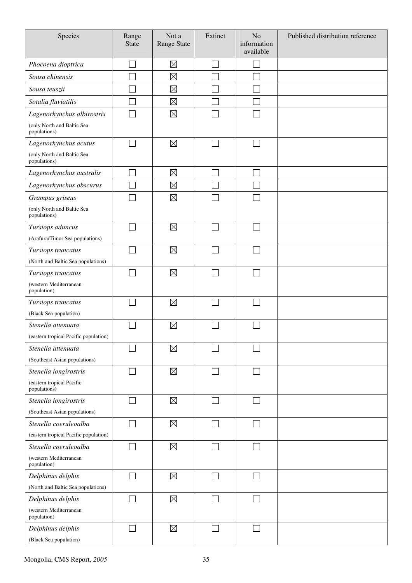| Species                                    | Range<br><b>State</b> | Not a<br>Range State | Extinct | N <sub>o</sub><br>information<br>available | Published distribution reference |
|--------------------------------------------|-----------------------|----------------------|---------|--------------------------------------------|----------------------------------|
| Phocoena dioptrica                         |                       | $\boxtimes$          |         |                                            |                                  |
| Sousa chinensis                            |                       | $\boxtimes$          |         |                                            |                                  |
| Sousa teuszii                              |                       | $\boxtimes$          |         |                                            |                                  |
| Sotalia fluviatilis                        |                       | $\boxtimes$          |         |                                            |                                  |
| Lagenorhynchus albirostris                 |                       | $\boxtimes$          |         |                                            |                                  |
| (only North and Baltic Sea<br>populations) |                       |                      |         |                                            |                                  |
| Lagenorhynchus acutus                      |                       | $\boxtimes$          |         |                                            |                                  |
| (only North and Baltic Sea<br>populations) |                       |                      |         |                                            |                                  |
| Lagenorhynchus australis                   | $\sim$                | $\boxtimes$          | ×.      | $\sim$                                     |                                  |
| Lagenorhynchus obscurus                    |                       | $\boxtimes$          |         |                                            |                                  |
| Grampus griseus                            |                       | $\boxtimes$          |         |                                            |                                  |
| (only North and Baltic Sea<br>populations) |                       |                      |         |                                            |                                  |
| Tursiops aduncus                           |                       | $\boxtimes$          | $\sim$  | $\sim$                                     |                                  |
| (Arafura/Timor Sea populations)            |                       |                      |         |                                            |                                  |
| Tursiops truncatus                         |                       | $\boxtimes$          |         |                                            |                                  |
| (North and Baltic Sea populations)         |                       |                      |         |                                            |                                  |
| Tursiops truncatus                         |                       | $\boxtimes$          |         |                                            |                                  |
| (western Mediterranean<br>population)      |                       |                      |         |                                            |                                  |
| Tursiops truncatus                         |                       | $\boxtimes$          |         |                                            |                                  |
| (Black Sea population)                     |                       |                      |         |                                            |                                  |
| Stenella attenuata                         |                       | $\boxtimes$          |         |                                            |                                  |
| (eastern tropical Pacific population)      |                       |                      |         |                                            |                                  |
| Stenella attenuata                         |                       | $\boxtimes$          |         |                                            |                                  |
| (Southeast Asian populations)              |                       |                      |         |                                            |                                  |
| Stenella longirostris                      |                       | $\boxtimes$          |         |                                            |                                  |
| (eastern tropical Pacific<br>populations)  |                       |                      |         |                                            |                                  |
| Stenella longirostris                      | $\sim$                | $\boxtimes$          |         |                                            |                                  |
| (Southeast Asian populations)              |                       |                      |         |                                            |                                  |
| Stenella coeruleoalba                      |                       | $\boxtimes$          |         |                                            |                                  |
| (eastern tropical Pacific population)      |                       |                      |         |                                            |                                  |
| Stenella coeruleoalba                      |                       | $\boxtimes$          |         |                                            |                                  |
| (western Mediterranean<br>population)      |                       |                      |         |                                            |                                  |
| Delphinus delphis                          | $\mathcal{L}$         | $\boxtimes$          |         |                                            |                                  |
| (North and Baltic Sea populations)         |                       |                      |         |                                            |                                  |
| Delphinus delphis                          |                       | $\boxtimes$          |         |                                            |                                  |
| (western Mediterranean<br>population)      |                       |                      |         |                                            |                                  |
| Delphinus delphis                          |                       | $\boxtimes$          |         |                                            |                                  |
| (Black Sea population)                     |                       |                      |         |                                            |                                  |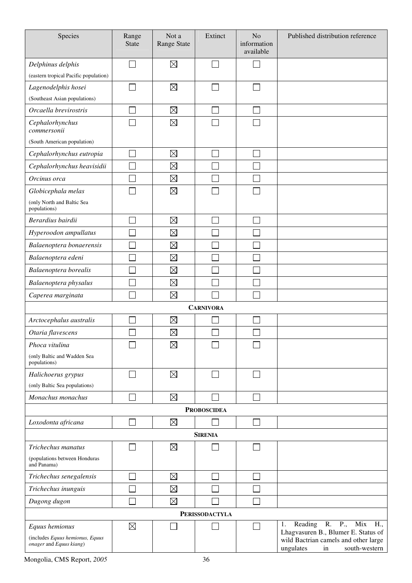| Species                                                                      | Range<br><b>State</b> | Not a<br><b>Range State</b> | Extinct               | N <sub>o</sub><br>information<br>available | Published distribution reference                                                                                                                               |
|------------------------------------------------------------------------------|-----------------------|-----------------------------|-----------------------|--------------------------------------------|----------------------------------------------------------------------------------------------------------------------------------------------------------------|
| Delphinus delphis                                                            |                       | $\boxtimes$                 |                       |                                            |                                                                                                                                                                |
| (eastern tropical Pacific population)                                        |                       |                             |                       |                                            |                                                                                                                                                                |
| Lagenodelphis hosei                                                          |                       | $\boxtimes$                 |                       |                                            |                                                                                                                                                                |
| (Southeast Asian populations)                                                |                       |                             |                       |                                            |                                                                                                                                                                |
| Orcaella brevirostris                                                        |                       | $\boxtimes$                 |                       |                                            |                                                                                                                                                                |
| Cephalorhynchus<br>commersonii                                               |                       | $\boxtimes$                 |                       |                                            |                                                                                                                                                                |
| (South American population)                                                  |                       |                             |                       |                                            |                                                                                                                                                                |
| Cephalorhynchus eutropia                                                     |                       | $\boxtimes$                 |                       |                                            |                                                                                                                                                                |
| Cephalorhynchus heavisidii                                                   |                       | $\boxtimes$                 |                       |                                            |                                                                                                                                                                |
| Orcinus orca                                                                 |                       | $\boxtimes$                 |                       |                                            |                                                                                                                                                                |
| Globicephala melas                                                           |                       | $\boxtimes$                 |                       |                                            |                                                                                                                                                                |
| (only North and Baltic Sea<br>populations)                                   |                       |                             |                       |                                            |                                                                                                                                                                |
| Berardius bairdii                                                            |                       | $\boxtimes$                 |                       |                                            |                                                                                                                                                                |
| Hyperoodon ampullatus                                                        |                       | $\boxtimes$                 |                       |                                            |                                                                                                                                                                |
| Balaenoptera bonaerensis                                                     |                       | $\boxtimes$                 |                       |                                            |                                                                                                                                                                |
| Balaenoptera edeni                                                           |                       | $\boxtimes$                 |                       |                                            |                                                                                                                                                                |
| Balaenoptera borealis                                                        |                       | $\boxtimes$                 |                       |                                            |                                                                                                                                                                |
| Balaenoptera physalus                                                        |                       | $\boxtimes$                 |                       |                                            |                                                                                                                                                                |
| Caperea marginata                                                            |                       | $\boxtimes$                 |                       |                                            |                                                                                                                                                                |
|                                                                              |                       |                             | <b>CARNIVORA</b>      |                                            |                                                                                                                                                                |
| Arctocephalus australis                                                      |                       | $\boxtimes$                 |                       |                                            |                                                                                                                                                                |
| Otaria flavescens                                                            |                       | $\boxtimes$                 |                       |                                            |                                                                                                                                                                |
| Phoca vitulina                                                               |                       | $\boxtimes$                 |                       |                                            |                                                                                                                                                                |
| (only Baltic and Wadden Sea<br>populations)                                  |                       |                             |                       |                                            |                                                                                                                                                                |
| Halichoerus grypus                                                           |                       | $\boxtimes$                 |                       |                                            |                                                                                                                                                                |
| (only Baltic Sea populations)                                                |                       |                             |                       |                                            |                                                                                                                                                                |
| Monachus monachus                                                            |                       | $\boxtimes$                 |                       |                                            |                                                                                                                                                                |
|                                                                              |                       |                             | <b>PROBOSCIDEA</b>    |                                            |                                                                                                                                                                |
| Loxodonta africana                                                           |                       | $\boxtimes$                 |                       |                                            |                                                                                                                                                                |
|                                                                              |                       |                             | <b>SIRENIA</b>        |                                            |                                                                                                                                                                |
| Trichechus manatus                                                           |                       | $\boxtimes$                 |                       |                                            |                                                                                                                                                                |
| (populations between Honduras<br>and Panama)                                 |                       |                             |                       |                                            |                                                                                                                                                                |
| Trichechus senegalensis                                                      |                       | $\boxtimes$                 |                       |                                            |                                                                                                                                                                |
| Trichechus inunguis                                                          |                       | $\boxtimes$                 |                       |                                            |                                                                                                                                                                |
| Dugong dugon                                                                 |                       | $\boxtimes$                 |                       |                                            |                                                                                                                                                                |
|                                                                              |                       |                             | <b>PERISSODACTYLA</b> |                                            |                                                                                                                                                                |
| Equus hemionus<br>(includes Equus hemionus, Equus<br>onager and Equus kiang) | $\boxtimes$           |                             |                       |                                            | $R$ .<br>P.,<br>Reading<br>Mix<br>H.,<br>1.<br>Lhagvasuren B., Blumer E. Status of<br>wild Bactrian camels and other large<br>ungulates<br>south-western<br>in |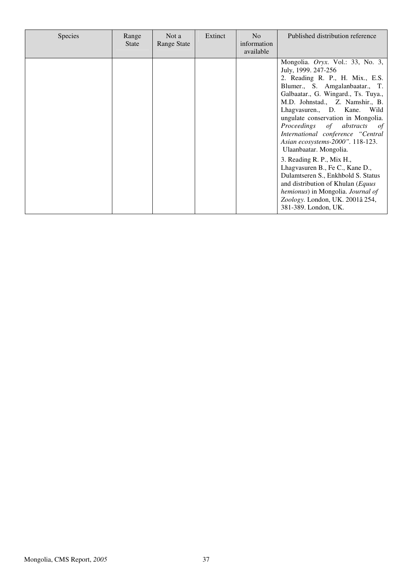| <b>Species</b> | Range<br><b>State</b> | Not a<br><b>Range State</b> | Extinct | N <sub>o</sub><br>information<br>available | Published distribution reference                                                                                                                                                                                                                                                                                                                                                                                                                                                                                                                                                                                                                                    |
|----------------|-----------------------|-----------------------------|---------|--------------------------------------------|---------------------------------------------------------------------------------------------------------------------------------------------------------------------------------------------------------------------------------------------------------------------------------------------------------------------------------------------------------------------------------------------------------------------------------------------------------------------------------------------------------------------------------------------------------------------------------------------------------------------------------------------------------------------|
|                |                       |                             |         |                                            | Mongolia. Oryx. Vol.: 33, No. 3,<br>July, 1999. 247-256<br>2. Reading R. P., H. Mix., E.S.<br>Blumer., S. Amgalanbaatar., T.<br>Galbaatar., G. Wingard., Ts. Tuya.,<br>M.D. Johnstad., Z. Namshir., B.<br>Lhagvasuren., D. Kane. Wild<br>ungulate conservation in Mongolia.<br>Proceedings of abstracts<br>of<br>International conference "Central<br>Asian ecosystems-2000". 118-123.<br>Ulaanbaatar. Mongolia.<br>3. Reading R. P., Mix H.,<br>Lhagvasuren B., Fe C., Kane D.,<br>Dulamtseren S., Enkhbold S. Status<br>and distribution of Khulan ( <i>Equus</i><br>hemionus) in Mongolia. Journal of<br>Zoology. London, UK. 2001â 254,<br>381-389. London, UK. |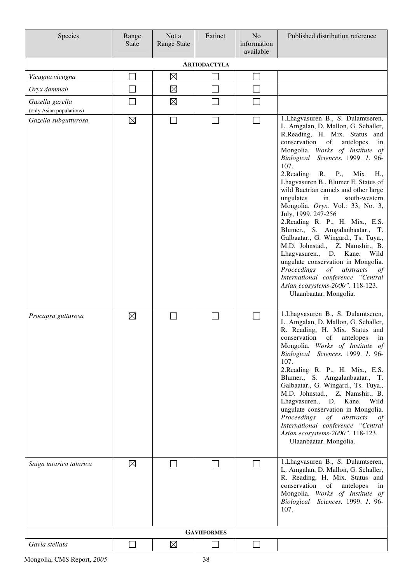| Species                                     | Range<br><b>State</b> | Not a<br><b>Range State</b> | Extinct                     | N <sub>o</sub><br>information<br>available | Published distribution reference                                                                                                                                                                                                                                                                                                                                                                                                                                                                                                                                                                                                                                                                                                                                                                                      |  |  |  |  |  |
|---------------------------------------------|-----------------------|-----------------------------|-----------------------------|--------------------------------------------|-----------------------------------------------------------------------------------------------------------------------------------------------------------------------------------------------------------------------------------------------------------------------------------------------------------------------------------------------------------------------------------------------------------------------------------------------------------------------------------------------------------------------------------------------------------------------------------------------------------------------------------------------------------------------------------------------------------------------------------------------------------------------------------------------------------------------|--|--|--|--|--|
| <b>ARTIODACTYLA</b>                         |                       |                             |                             |                                            |                                                                                                                                                                                                                                                                                                                                                                                                                                                                                                                                                                                                                                                                                                                                                                                                                       |  |  |  |  |  |
| Vicugna vicugna                             |                       | $\boxtimes$                 |                             | $\overline{\phantom{0}}$                   |                                                                                                                                                                                                                                                                                                                                                                                                                                                                                                                                                                                                                                                                                                                                                                                                                       |  |  |  |  |  |
| Oryx dammah                                 |                       | $\boxtimes$                 | $\mathcal{L}_{\mathcal{A}}$ | ٦                                          |                                                                                                                                                                                                                                                                                                                                                                                                                                                                                                                                                                                                                                                                                                                                                                                                                       |  |  |  |  |  |
| Gazella gazella<br>(only Asian populations) | $\mathbb{R}^n$        | $\boxtimes$                 |                             |                                            |                                                                                                                                                                                                                                                                                                                                                                                                                                                                                                                                                                                                                                                                                                                                                                                                                       |  |  |  |  |  |
| Gazella subgutturosa                        | $\boxtimes$           |                             | $\Box$                      | $\overline{\phantom{0}}$                   | 1. Lhagvasuren B., S. Dulamtseren,<br>L. Amgalan, D. Mallon, G. Schaller,<br>R.Reading, H. Mix. Status and<br>conservation of<br>antelopes<br>in<br>Mongolia. Works of Institute of<br>Biological Sciences. 1999. 1. 96-<br>107.<br>2.Reading<br>R. P.,<br>Mix<br>H.,<br>Lhagvasuren B., Blumer E. Status of<br>wild Bactrian camels and other large<br>south-western<br>ungulates<br>in<br>Mongolia. Oryx. Vol.: 33, No. 3,<br>July, 1999. 247-256<br>2. Reading R. P., H. Mix., E.S.<br>Blumer., S. Amgalanbaatar., T.<br>Galbaatar., G. Wingard., Ts. Tuya.,<br>M.D. Johnstad., Z. Namshir., B.<br>Lhagvasuren., D. Kane.<br>Wild<br>ungulate conservation in Mongolia.<br>Proceedings<br>of<br>abstracts<br>of<br>International conference "Central<br>Asian ecosystems-2000". 118-123.<br>Ulaanbaatar. Mongolia. |  |  |  |  |  |
| Procapra gutturosa                          | $\boxtimes$           |                             |                             | $\sim$                                     | 1. Lhagvasuren B., S. Dulamtseren,<br>L. Amgalan, D. Mallon, G. Schaller,<br>R. Reading, H. Mix. Status and<br>conservation of antelopes in<br>Mongolia. Works of Institute of<br>Biological Sciences. 1999. 1. 96-<br>107.<br>2. Reading R. P., H. Mix., E.S.<br>Blumer., S. Amgalanbaatar., T.<br>Galbaatar., G. Wingard., Ts. Tuya.,<br>M.D. Johnstad., Z. Namshir., B.<br>Lhagvasuren., D. Kane.<br>Wild<br>ungulate conservation in Mongolia.<br>Proceedings<br>of abstracts<br>of<br>International conference "Central<br>Asian ecosystems-2000". 118-123.<br>Ulaanbaatar. Mongolia.                                                                                                                                                                                                                            |  |  |  |  |  |
| Saiga tatarica tatarica                     | $\boxtimes$           |                             |                             |                                            | 1. Lhagvasuren B., S. Dulamtseren,<br>L. Amgalan, D. Mallon, G. Schaller,<br>R. Reading, H. Mix. Status and<br>conservation<br>of<br>antelopes<br>in<br>Mongolia. Works of Institute of<br>Biological Sciences. 1999. 1. 96-<br>107.                                                                                                                                                                                                                                                                                                                                                                                                                                                                                                                                                                                  |  |  |  |  |  |
|                                             |                       |                             | <b>GAVIIFORMES</b>          |                                            |                                                                                                                                                                                                                                                                                                                                                                                                                                                                                                                                                                                                                                                                                                                                                                                                                       |  |  |  |  |  |
| Gavia stellata                              |                       | $\boxtimes$                 |                             |                                            |                                                                                                                                                                                                                                                                                                                                                                                                                                                                                                                                                                                                                                                                                                                                                                                                                       |  |  |  |  |  |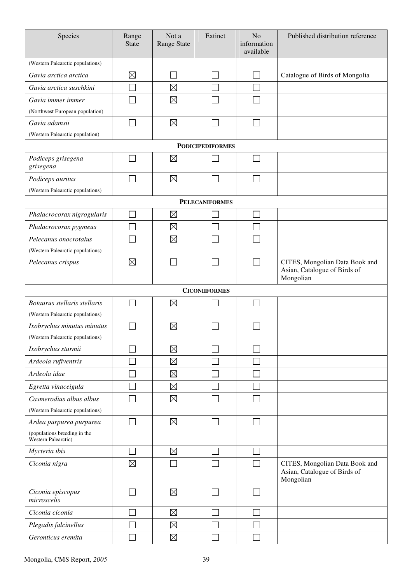| Species                                             | Range<br><b>State</b> | Not a<br><b>Range State</b> | Extinct               | N <sub>o</sub><br>information<br>available | Published distribution reference                                            |  |  |  |  |  |
|-----------------------------------------------------|-----------------------|-----------------------------|-----------------------|--------------------------------------------|-----------------------------------------------------------------------------|--|--|--|--|--|
| (Western Palearctic populations)                    |                       |                             |                       |                                            |                                                                             |  |  |  |  |  |
| Gavia arctica arctica                               | $\boxtimes$           |                             |                       |                                            | Catalogue of Birds of Mongolia                                              |  |  |  |  |  |
| Gavia arctica suschkini                             |                       | $\boxtimes$                 |                       |                                            |                                                                             |  |  |  |  |  |
| Gavia immer immer                                   |                       | $\boxtimes$                 |                       |                                            |                                                                             |  |  |  |  |  |
| (Northwest European population)                     |                       |                             |                       |                                            |                                                                             |  |  |  |  |  |
| Gavia adamsii                                       |                       | $\boxtimes$                 |                       |                                            |                                                                             |  |  |  |  |  |
| (Western Palearctic population)                     |                       |                             |                       |                                            |                                                                             |  |  |  |  |  |
| <b>PODICIPEDIFORMES</b>                             |                       |                             |                       |                                            |                                                                             |  |  |  |  |  |
| Podiceps grisegena<br>grisegena                     |                       | $\boxtimes$                 |                       |                                            |                                                                             |  |  |  |  |  |
| Podiceps auritus                                    |                       | $\boxtimes$                 |                       |                                            |                                                                             |  |  |  |  |  |
| (Western Palearctic populations)                    |                       |                             |                       |                                            |                                                                             |  |  |  |  |  |
|                                                     |                       |                             | <b>PELECANIFORMES</b> |                                            |                                                                             |  |  |  |  |  |
| Phalacrocorax nigrogularis                          |                       | $\boxtimes$                 |                       |                                            |                                                                             |  |  |  |  |  |
| Phalacrocorax pygmeus                               |                       | $\boxtimes$                 |                       |                                            |                                                                             |  |  |  |  |  |
| Pelecanus onocrotalus                               |                       | $\boxtimes$                 |                       |                                            |                                                                             |  |  |  |  |  |
| (Western Palearctic populations)                    |                       |                             |                       |                                            |                                                                             |  |  |  |  |  |
| Pelecanus crispus                                   | $\boxtimes$           |                             |                       | $\Box$                                     | CITES, Mongolian Data Book and<br>Asian, Catalogue of Birds of<br>Mongolian |  |  |  |  |  |
|                                                     |                       |                             | <b>CICONIIFORMES</b>  |                                            |                                                                             |  |  |  |  |  |
| Botaurus stellaris stellaris                        |                       | $\boxtimes$                 |                       |                                            |                                                                             |  |  |  |  |  |
| (Western Palearctic populations)                    |                       |                             |                       |                                            |                                                                             |  |  |  |  |  |
| Ixobrychus minutus minutus                          |                       | $\boxtimes$                 |                       |                                            |                                                                             |  |  |  |  |  |
| (Western Palearctic populations)                    |                       |                             |                       |                                            |                                                                             |  |  |  |  |  |
| Ixobrychus sturmii                                  |                       | $\boxtimes$                 |                       |                                            |                                                                             |  |  |  |  |  |
| Ardeola rufiventris                                 |                       | $\boxtimes$                 |                       |                                            |                                                                             |  |  |  |  |  |
| Ardeola idae                                        |                       | $\boxtimes$                 |                       |                                            |                                                                             |  |  |  |  |  |
| Egretta vinaceigula                                 |                       | $\boxtimes$                 |                       |                                            |                                                                             |  |  |  |  |  |
| Casmerodius albus albus                             |                       | $\boxtimes$                 |                       |                                            |                                                                             |  |  |  |  |  |
| (Western Palearctic populations)                    |                       |                             |                       |                                            |                                                                             |  |  |  |  |  |
| Ardea purpurea purpurea                             |                       | $\boxtimes$                 |                       |                                            |                                                                             |  |  |  |  |  |
| (populations breeding in the<br>Western Palearctic) |                       |                             |                       |                                            |                                                                             |  |  |  |  |  |
| Mycteria ibis                                       |                       | $\boxtimes$                 |                       |                                            |                                                                             |  |  |  |  |  |
| Ciconia nigra                                       | $\boxtimes$           |                             |                       |                                            | CITES, Mongolian Data Book and<br>Asian, Catalogue of Birds of<br>Mongolian |  |  |  |  |  |
| Ciconia episcopus<br>microscelis                    |                       | $\boxtimes$                 |                       |                                            |                                                                             |  |  |  |  |  |
| Ciconia ciconia                                     |                       | $\boxtimes$                 |                       |                                            |                                                                             |  |  |  |  |  |
| Plegadis falcinellus                                |                       | $\boxtimes$                 |                       |                                            |                                                                             |  |  |  |  |  |
| Geronticus eremita                                  |                       | $\boxtimes$                 |                       |                                            |                                                                             |  |  |  |  |  |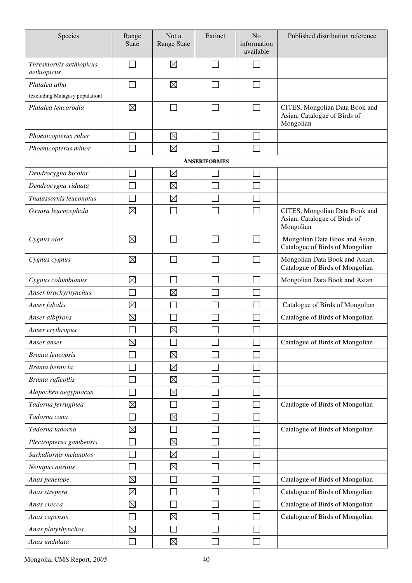| Species                                 | Range<br><b>State</b> | Not a<br>Range State | Extinct             | N <sub>o</sub><br>information<br>available | Published distribution reference                                            |
|-----------------------------------------|-----------------------|----------------------|---------------------|--------------------------------------------|-----------------------------------------------------------------------------|
| Threskiornis aethiopicus<br>aethiopicus |                       | $\boxtimes$          | ×.                  |                                            |                                                                             |
| Platalea alba                           |                       | $\boxtimes$          |                     |                                            |                                                                             |
| (excluding Malagasy population)         |                       |                      |                     |                                            |                                                                             |
| Platalea leucorodia                     | $\boxtimes$           |                      |                     |                                            | CITES, Mongolian Data Book and<br>Asian, Catalogue of Birds of<br>Mongolian |
| Phoenicopterus ruber                    |                       | $\boxtimes$          |                     |                                            |                                                                             |
| Phoenicopterus minor                    |                       | $\boxtimes$          |                     |                                            |                                                                             |
|                                         |                       |                      | <b>ANSERIFORMES</b> |                                            |                                                                             |
| Dendrocygna bicolor                     |                       | $\boxtimes$          |                     |                                            |                                                                             |
| Dendrocygna viduata                     |                       | $\boxtimes$          |                     |                                            |                                                                             |
| Thalassornis leuconotus                 |                       | $\boxtimes$          |                     |                                            |                                                                             |
| Oxyura leucocephala                     | $\boxtimes$           |                      |                     |                                            | CITES, Mongolian Data Book and<br>Asian, Catalogue of Birds of<br>Mongolian |
| Cygnus olor                             | $\boxtimes$           |                      |                     |                                            | Mongolian Data Book and Asian,<br>Catalogue of Birds of Mongolian           |
| Cygnus cygnus                           | $\boxtimes$           |                      |                     |                                            | Mongolian Data Book and Asian,<br>Catalogue of Birds of Mongolian           |
| Cygnus columbianus                      | $\boxtimes$           |                      |                     |                                            | Mongolian Data Book and Asian                                               |
| Anser brachyrhynchus                    |                       | $\boxtimes$          |                     |                                            |                                                                             |
| Anser fabalis                           | $\boxtimes$           |                      |                     |                                            | Catalogue of Birds of Mongolian                                             |
| Anser albifrons                         | $\boxtimes$           |                      |                     |                                            | Catalogue of Birds of Mongolian                                             |
| Anser erythropus                        |                       | $\boxtimes$          |                     |                                            |                                                                             |
| Anser anser                             | $\boxtimes$           |                      |                     |                                            | Catalogue of Birds of Mongolian                                             |
| Branta leucopsis                        |                       | $\boxtimes$          |                     |                                            |                                                                             |
| Branta bernicla                         |                       | $\boxtimes$          |                     |                                            |                                                                             |
| Branta ruficollis                       |                       | $\boxtimes$          |                     |                                            |                                                                             |
| Alopochen aegyptiacus                   |                       | $\boxtimes$          |                     |                                            |                                                                             |
| Tadorna ferruginea                      | $\boxtimes$           |                      |                     |                                            | Catalogue of Birds of Mongolian                                             |
| Tadorna cana                            |                       | $\boxtimes$          |                     |                                            |                                                                             |
| Tadorna tadorna                         | $\boxtimes$           |                      |                     |                                            | Catalogue of Birds of Mongolian                                             |
| Plectropterus gambensis                 |                       | $\boxtimes$          |                     |                                            |                                                                             |
| Sarkidiornis melanotos                  |                       | $\boxtimes$          |                     |                                            |                                                                             |
| Nettapus auritus                        |                       | $\boxtimes$          |                     |                                            |                                                                             |
| Anas penelope                           | $\boxtimes$           |                      |                     |                                            | Catalogue of Birds of Mongolian                                             |
| Anas strepera                           | $\boxtimes$           |                      |                     |                                            | Catalogue of Birds of Mongolian                                             |
| Anas crecca                             | $\boxtimes$           |                      |                     |                                            | Catalogue of Birds of Mongolian                                             |
| Anas capensis                           |                       | $\boxtimes$          |                     |                                            | Catalogue of Birds of Mongolian                                             |
| Anas platyrhynchos                      | $\boxtimes$           |                      |                     |                                            |                                                                             |
| Anas undulata                           |                       | $\boxtimes$          |                     |                                            |                                                                             |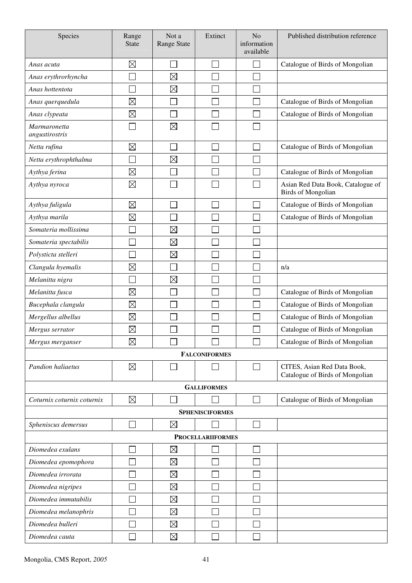| Species                        | Range<br><b>State</b> | Not a<br>Range State | Extinct                  | N <sub>o</sub><br>information<br>available | Published distribution reference                               |
|--------------------------------|-----------------------|----------------------|--------------------------|--------------------------------------------|----------------------------------------------------------------|
| Anas acuta                     | $\boxtimes$           |                      |                          | $\mathcal{L}_{\mathcal{A}}$                | Catalogue of Birds of Mongolian                                |
| Anas erythrorhyncha            |                       | $\boxtimes$          |                          |                                            |                                                                |
| Anas hottentota                |                       | $\boxtimes$          |                          |                                            |                                                                |
| Anas querquedula               | $\boxtimes$           |                      |                          |                                            | Catalogue of Birds of Mongolian                                |
| Anas clypeata                  | $\boxtimes$           |                      |                          |                                            | Catalogue of Birds of Mongolian                                |
| Marmaronetta<br>angustirostris |                       | $\boxtimes$          |                          |                                            |                                                                |
| Netta rufina                   | $\boxtimes$           |                      |                          |                                            | Catalogue of Birds of Mongolian                                |
| Netta erythrophthalma          |                       | $\boxtimes$          |                          |                                            |                                                                |
| Aythya ferina                  | $\boxtimes$           |                      |                          |                                            | Catalogue of Birds of Mongolian                                |
| Aythya nyroca                  | $\boxtimes$           |                      |                          |                                            | Asian Red Data Book, Catalogue of<br><b>Birds of Mongolian</b> |
| Aythya fuligula                | $\boxtimes$           |                      |                          | $\Box$                                     | Catalogue of Birds of Mongolian                                |
| Aythya marila                  | $\boxtimes$           |                      |                          |                                            | Catalogue of Birds of Mongolian                                |
| Somateria mollissima           |                       | $\boxtimes$          |                          |                                            |                                                                |
| Somateria spectabilis          |                       | $\boxtimes$          |                          | Ξ                                          |                                                                |
| Polysticta stelleri            |                       | $\boxtimes$          |                          | $\mathbb{R}^n$                             |                                                                |
| Clangula hyemalis              | $\boxtimes$           |                      |                          |                                            | n/a                                                            |
| Melanitta nigra                | Ξ                     | $\boxtimes$          |                          |                                            |                                                                |
| Melanitta fusca                | $\boxtimes$           |                      |                          |                                            | Catalogue of Birds of Mongolian                                |
| Bucephala clangula             | $\boxtimes$           |                      |                          |                                            | Catalogue of Birds of Mongolian                                |
| Mergellus albellus             | $\boxtimes$           |                      |                          |                                            | Catalogue of Birds of Mongolian                                |
| Mergus serrator                | $\boxtimes$           |                      |                          |                                            | Catalogue of Birds of Mongolian                                |
| Mergus merganser               | $\boxtimes$           |                      |                          |                                            | Catalogue of Birds of Mongolian                                |
|                                |                       |                      | <b>FALCONIFORMES</b>     |                                            |                                                                |
| Pandion haliaetus              | $\boxtimes$           |                      |                          | $\Box$                                     | CITES, Asian Red Data Book,<br>Catalogue of Birds of Mongolian |
|                                |                       |                      | <b>GALLIFORMES</b>       |                                            |                                                                |
| Coturnix coturnix coturnix     | $\boxtimes$           |                      |                          | $\Box$                                     | Catalogue of Birds of Mongolian                                |
|                                |                       |                      | <b>SPHENISCIFORMES</b>   |                                            |                                                                |
| Spheniscus demersus            |                       | $\boxtimes$          |                          | $\Box$                                     |                                                                |
|                                |                       |                      | <b>PROCELLARIIFORMES</b> |                                            |                                                                |
| Diomedea exulans               |                       | $\boxtimes$          |                          | $\mathcal{L}$                              |                                                                |
| Diomedea epomophora            |                       | $\boxtimes$          |                          |                                            |                                                                |
| Diomedea irrorata              |                       | $\boxtimes$          |                          |                                            |                                                                |
| Diomedea nigripes              |                       | $\boxtimes$          |                          |                                            |                                                                |
| Diomedea immutabilis           |                       | $\boxtimes$          |                          |                                            |                                                                |
| Diomedea melanophris           |                       | $\boxtimes$          |                          |                                            |                                                                |
| Diomedea bulleri               |                       | $\boxtimes$          |                          |                                            |                                                                |
| Diomedea cauta                 |                       | $\boxtimes$          |                          | $\mathcal{L}$                              |                                                                |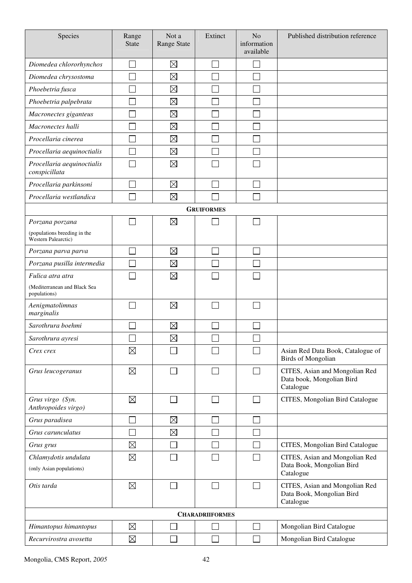| Species                                             | Range<br><b>State</b> | Not a<br>Range State | Extinct                | N <sub>o</sub><br>information<br>available | Published distribution reference                                         |
|-----------------------------------------------------|-----------------------|----------------------|------------------------|--------------------------------------------|--------------------------------------------------------------------------|
| Diomedea chlororhynchos                             |                       | $\boxtimes$          |                        |                                            |                                                                          |
| Diomedea chrysostoma                                |                       | $\boxtimes$          |                        |                                            |                                                                          |
| Phoebetria fusca                                    |                       | $\boxtimes$          |                        |                                            |                                                                          |
| Phoebetria palpebrata                               |                       | $\boxtimes$          |                        |                                            |                                                                          |
| Macronectes giganteus                               |                       | $\boxtimes$          |                        |                                            |                                                                          |
| Macronectes halli                                   |                       | $\boxtimes$          |                        |                                            |                                                                          |
| Procellaria cinerea                                 |                       | $\boxtimes$          |                        |                                            |                                                                          |
| Procellaria aequinoctialis                          |                       | $\boxtimes$          |                        |                                            |                                                                          |
| Procellaria aequinoctialis<br>conspicillata         |                       | $\boxtimes$          |                        |                                            |                                                                          |
| Procellaria parkinsoni                              |                       | $\boxtimes$          |                        |                                            |                                                                          |
| Procellaria westlandica                             |                       | $\boxtimes$          |                        |                                            |                                                                          |
|                                                     |                       |                      | <b>GRUIFORMES</b>      |                                            |                                                                          |
| Porzana porzana                                     |                       | $\boxtimes$          |                        |                                            |                                                                          |
| (populations breeding in the<br>Western Palearctic) |                       |                      |                        |                                            |                                                                          |
| Porzana parva parva                                 |                       | $\boxtimes$          |                        |                                            |                                                                          |
| Porzana pusilla intermedia                          |                       | $\boxtimes$          |                        |                                            |                                                                          |
| Fulica atra atra                                    |                       | $\boxtimes$          |                        |                                            |                                                                          |
| (Mediterranean and Black Sea<br>populations)        |                       |                      |                        |                                            |                                                                          |
| Aenigmatolimnas<br>marginalis                       |                       | $\boxtimes$          |                        |                                            |                                                                          |
| Sarothrura boehmi                                   |                       | $\boxtimes$          |                        |                                            |                                                                          |
| Sarothrura ayresi                                   | ᄂ                     | $\boxtimes$          | ᆸ                      | ᆸ                                          |                                                                          |
| Crex crex                                           | $\boxtimes$           |                      |                        |                                            | Asian Red Data Book, Catalogue of<br><b>Birds of Mongolian</b>           |
| Grus leucogeranus                                   | $\boxtimes$           |                      |                        |                                            | CITES, Asian and Mongolian Red<br>Data book, Mongolian Bird<br>Catalogue |
| Grus virgo (Syn.<br>Anthropoides virgo)             | $\boxtimes$           |                      |                        | $\Box$                                     | CITES, Mongolian Bird Catalogue                                          |
| Grus paradisea                                      |                       | $\boxtimes$          |                        | $\sim$                                     |                                                                          |
| Grus carunculatus                                   |                       | $\boxtimes$          |                        |                                            |                                                                          |
| Grus grus                                           | $\boxtimes$           |                      |                        |                                            | CITES, Mongolian Bird Catalogue                                          |
| Chlamydotis undulata<br>(only Asian populations)    | $\boxtimes$           |                      |                        | $\mathcal{L}_{\mathcal{A}}$                | CITES, Asian and Mongolian Red<br>Data Book, Mongolian Bird<br>Catalogue |
| Otis tarda                                          | $\boxtimes$           |                      |                        | $\mathcal{L}_{\mathcal{A}}$                | CITES, Asian and Mongolian Red<br>Data Book, Mongolian Bird<br>Catalogue |
|                                                     |                       |                      | <b>CHARADRIIFORMES</b> |                                            |                                                                          |
| Himantopus himantopus                               | $\boxtimes$           |                      |                        | $\mathcal{L}_{\mathcal{A}}$                | Mongolian Bird Catalogue                                                 |
| Recurvirostra avosetta                              | $\boxtimes$           |                      |                        | $\overline{\phantom{a}}$                   | Mongolian Bird Catalogue                                                 |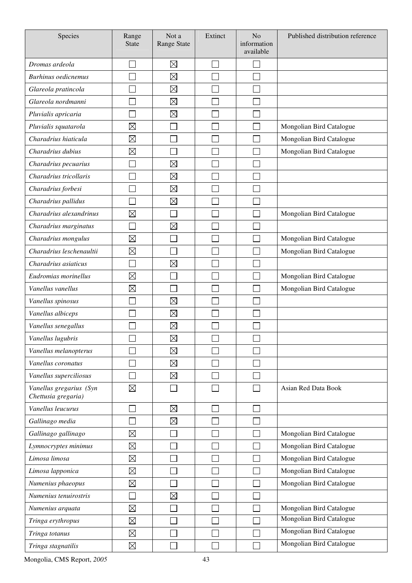| Species                                        | Range<br><b>State</b> | Not a<br><b>Range State</b> | Extinct | N <sub>o</sub><br>information<br>available | Published distribution reference |
|------------------------------------------------|-----------------------|-----------------------------|---------|--------------------------------------------|----------------------------------|
| Dromas ardeola                                 |                       | $\boxtimes$                 |         |                                            |                                  |
| <b>Burhinus</b> oedicnemus                     |                       | $\boxtimes$                 |         |                                            |                                  |
| Glareola pratincola                            |                       | $\boxtimes$                 |         |                                            |                                  |
| Glareola nordmanni                             |                       | $\boxtimes$                 |         |                                            |                                  |
| Pluvialis apricaria                            |                       | $\boxtimes$                 |         |                                            |                                  |
| Pluvialis squatarola                           | $\boxtimes$           |                             |         |                                            | Mongolian Bird Catalogue         |
| Charadrius hiaticula                           | $\boxtimes$           |                             |         |                                            | Mongolian Bird Catalogue         |
| Charadrius dubius                              | $\boxtimes$           |                             |         |                                            | Mongolian Bird Catalogue         |
| Charadrius pecuarius                           |                       | $\boxtimes$                 |         |                                            |                                  |
| Charadrius tricollaris                         |                       | $\boxtimes$                 |         |                                            |                                  |
| Charadrius forbesi                             |                       | $\boxtimes$                 |         |                                            |                                  |
| Charadrius pallidus                            |                       | $\boxtimes$                 |         |                                            |                                  |
| Charadrius alexandrinus                        | $\boxtimes$           |                             |         |                                            | Mongolian Bird Catalogue         |
| Charadrius marginatus                          |                       | $\boxtimes$                 |         |                                            |                                  |
| Charadrius mongulus                            | $\boxtimes$           |                             |         |                                            | Mongolian Bird Catalogue         |
| Charadrius leschenaultii                       | $\boxtimes$           |                             |         |                                            | Mongolian Bird Catalogue         |
| Charadrius asiaticus                           |                       | $\boxtimes$                 |         |                                            |                                  |
| Eudromias morinellus                           | $\boxtimes$           |                             |         |                                            | Mongolian Bird Catalogue         |
| Vanellus vanellus                              | $\boxtimes$           |                             |         |                                            | Mongolian Bird Catalogue         |
| Vanellus spinosus                              |                       | $\boxtimes$                 |         |                                            |                                  |
| Vanellus albiceps                              |                       | $\boxtimes$                 |         |                                            |                                  |
| Vanellus senegallus                            |                       | $\boxtimes$                 |         |                                            |                                  |
| Vanellus lugubris                              | ᅳ                     | $\boxtimes$                 |         |                                            |                                  |
| Vanellus melanopterus                          |                       | $\boxtimes$                 |         |                                            |                                  |
| Vanellus coronatus                             |                       | $\boxtimes$                 |         |                                            |                                  |
| Vanellus superciliosus                         |                       | $\boxtimes$                 |         |                                            |                                  |
| Vanellus gregarius (Syn<br>Chettusia gregaria) | $\boxtimes$           |                             |         |                                            | Asian Red Data Book              |
| Vanellus leucurus                              |                       | $\boxtimes$                 |         |                                            |                                  |
| Gallinago media                                |                       | $\boxtimes$                 |         |                                            |                                  |
| Gallinago gallinago                            | $\boxtimes$           |                             |         |                                            | Mongolian Bird Catalogue         |
| Lymnocryptes minimus                           | $\boxtimes$           |                             |         |                                            | Mongolian Bird Catalogue         |
| Limosa limosa                                  | $\boxtimes$           |                             |         |                                            | Mongolian Bird Catalogue         |
| Limosa lapponica                               | $\boxtimes$           |                             |         |                                            | Mongolian Bird Catalogue         |
| Numenius phaeopus                              | $\boxtimes$           |                             |         |                                            | Mongolian Bird Catalogue         |
| Numenius tenuirostris                          |                       | $\boxtimes$                 |         |                                            |                                  |
| Numenius arquata                               | $\boxtimes$           |                             |         |                                            | Mongolian Bird Catalogue         |
| Tringa erythropus                              | $\boxtimes$           |                             |         |                                            | Mongolian Bird Catalogue         |
| Tringa totanus                                 | $\boxtimes$           |                             |         |                                            | Mongolian Bird Catalogue         |
| Tringa stagnatilis                             | $\boxtimes$           |                             |         |                                            | Mongolian Bird Catalogue         |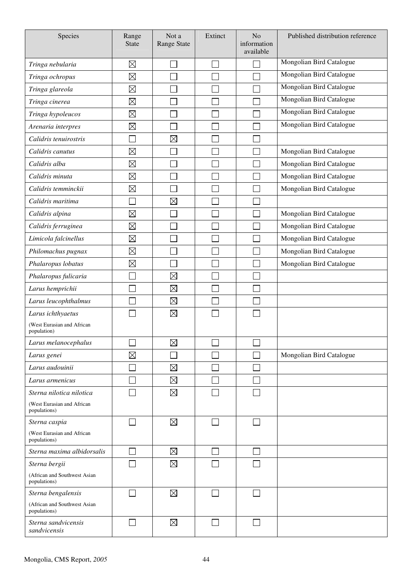| Species                                      | Range<br><b>State</b> | Not a<br>Range State | Extinct        | N <sub>o</sub><br>information<br>available | Published distribution reference |
|----------------------------------------------|-----------------------|----------------------|----------------|--------------------------------------------|----------------------------------|
| Tringa nebularia                             | $\boxtimes$           |                      |                |                                            | Mongolian Bird Catalogue         |
| Tringa ochropus                              | $\boxtimes$           |                      |                |                                            | Mongolian Bird Catalogue         |
| Tringa glareola                              | $\boxtimes$           |                      |                |                                            | Mongolian Bird Catalogue         |
| Tringa cinerea                               | $\boxtimes$           |                      |                |                                            | Mongolian Bird Catalogue         |
| Tringa hypoleucos                            | $\boxtimes$           |                      |                |                                            | Mongolian Bird Catalogue         |
| Arenaria interpres                           | $\boxtimes$           |                      |                |                                            | Mongolian Bird Catalogue         |
| Calidris tenuirostris                        | $\Box$                | $\boxtimes$          |                |                                            |                                  |
| Calidris canutus                             | $\boxtimes$           |                      |                |                                            | Mongolian Bird Catalogue         |
| Calidris alba                                | $\boxtimes$           |                      |                |                                            | Mongolian Bird Catalogue         |
| Calidris minuta                              | $\boxtimes$           |                      |                |                                            | Mongolian Bird Catalogue         |
| Calidris temminckii                          | $\boxtimes$           |                      |                |                                            | Mongolian Bird Catalogue         |
| Calidris maritima                            | Г                     | $\boxtimes$          |                |                                            |                                  |
| Calidris alpina                              | $\boxtimes$           |                      |                |                                            | Mongolian Bird Catalogue         |
| Calidris ferruginea                          | $\boxtimes$           |                      |                |                                            | Mongolian Bird Catalogue         |
| Limicola falcinellus                         | $\boxtimes$           |                      |                |                                            | Mongolian Bird Catalogue         |
| Philomachus pugnax                           | $\boxtimes$           |                      |                |                                            | Mongolian Bird Catalogue         |
| Phalaropus lobatus                           | $\boxtimes$           |                      |                |                                            | Mongolian Bird Catalogue         |
| Phalaropus fulicaria                         |                       | $\boxtimes$          |                |                                            |                                  |
| Larus hemprichii                             |                       | $\boxtimes$          |                |                                            |                                  |
| Larus leucophthalmus                         |                       | $\boxtimes$          |                |                                            |                                  |
| Larus ichthyaetus                            |                       | $\boxtimes$          |                |                                            |                                  |
| (West Eurasian and African<br>population)    |                       |                      |                |                                            |                                  |
| Larus melanocephalus                         |                       | $\boxtimes$          |                |                                            |                                  |
| Larus genei                                  | $\boxtimes$           |                      |                |                                            | Mongolian Bird Catalogue         |
| Larus audouinii                              | l.                    | $\boxtimes$          |                |                                            |                                  |
| Larus armenicus                              |                       | $\boxtimes$          |                |                                            |                                  |
| Sterna nilotica nilotica                     |                       | $\boxtimes$          | $\blacksquare$ |                                            |                                  |
| (West Eurasian and African<br>populations)   |                       |                      |                |                                            |                                  |
| Sterna caspia                                |                       | $\boxtimes$          |                |                                            |                                  |
| (West Eurasian and African<br>populations)   |                       |                      |                |                                            |                                  |
| Sterna maxima albidorsalis                   | M.                    | $\boxtimes$          | ×.             |                                            |                                  |
| Sterna bergii                                |                       | $\boxtimes$          |                |                                            |                                  |
| (African and Southwest Asian<br>populations) |                       |                      |                |                                            |                                  |
| Sterna bengalensis                           | $\Box$                | $\boxtimes$          | $\sim$         | ┓                                          |                                  |
| (African and Southwest Asian<br>populations) |                       |                      |                |                                            |                                  |
| Sterna sandvicensis<br>sandvicensis          | $\mathbf{L}$          | $\boxtimes$          |                |                                            |                                  |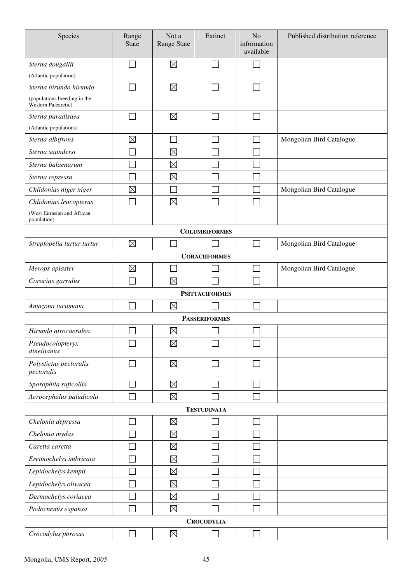| Species                                                    | Range<br><b>State</b> | Not a<br>Range State | Extinct               | N <sub>o</sub><br>information<br>available | Published distribution reference |
|------------------------------------------------------------|-----------------------|----------------------|-----------------------|--------------------------------------------|----------------------------------|
| Sterna dougallii                                           |                       | $\boxtimes$          | ×.                    |                                            |                                  |
| (Atlantic population)                                      |                       |                      |                       |                                            |                                  |
| Sterna hirundo hirundo                                     |                       | $\boxtimes$          |                       | ٦                                          |                                  |
| (populations breeding in the<br><b>Western Palearctic)</b> |                       |                      |                       |                                            |                                  |
| Sterna paradisaea                                          |                       | $\boxtimes$          |                       |                                            |                                  |
| (Atlantic populations)                                     |                       |                      |                       |                                            |                                  |
| Sterna albifrons                                           | $\boxtimes$           |                      | a i                   | $\mathcal{L}$                              | Mongolian Bird Catalogue         |
| Sterna saundersi                                           |                       | $\boxtimes$          |                       |                                            |                                  |
| Sterna balaenarum                                          |                       | $\boxtimes$          |                       |                                            |                                  |
| Sterna repressa                                            |                       | $\boxtimes$          |                       |                                            |                                  |
| Chlidonias niger niger                                     | $\boxtimes$           |                      |                       |                                            | Mongolian Bird Catalogue         |
| Chlidonias leucopterus                                     |                       | $\boxtimes$          |                       |                                            |                                  |
| (West Eurasian and African<br>population)                  |                       |                      |                       |                                            |                                  |
|                                                            |                       |                      | <b>COLUMBIFORMES</b>  |                                            |                                  |
| Streptopelia turtur turtur                                 | $\boxtimes$           |                      |                       |                                            | Mongolian Bird Catalogue         |
|                                                            |                       |                      | <b>CORACIIFORMES</b>  |                                            |                                  |
| Merops apiaster                                            | $\boxtimes$           |                      |                       | ×                                          | Mongolian Bird Catalogue         |
| Coracias garrulus                                          |                       | $\boxtimes$          |                       |                                            |                                  |
|                                                            |                       |                      | <b>PSITTACIFORMES</b> |                                            |                                  |
| Amazona tucumana                                           |                       | $\boxtimes$          |                       |                                            |                                  |
|                                                            |                       |                      | <b>PASSERIFORMES</b>  |                                            |                                  |
| Hirundo atrocaerulea                                       |                       | $\boxtimes$          |                       |                                            |                                  |
| Pseudocolopteryx<br>dinellianus                            |                       | $\boxtimes$          |                       |                                            |                                  |
| Polystictus pectoralis<br>pectoralis                       |                       | $\boxtimes$          |                       |                                            |                                  |
| Sporophila ruficollis                                      |                       | $\boxtimes$          |                       |                                            |                                  |
| Acrocephalus paludicola                                    |                       | $\boxtimes$          |                       |                                            |                                  |
|                                                            |                       |                      | <b>TESTUDINATA</b>    |                                            |                                  |
| Chelonia depressa                                          |                       | $\boxtimes$          |                       |                                            |                                  |
| Chelonia mydas                                             |                       | $\boxtimes$          |                       |                                            |                                  |
| Caretta caretta                                            |                       | $\boxtimes$          |                       |                                            |                                  |
| Eretmochelys imbricata                                     |                       | $\boxtimes$          |                       |                                            |                                  |
| Lepidochelys kempii                                        |                       | $\boxtimes$          |                       |                                            |                                  |
| Lepidochelys olivacea                                      |                       | $\boxtimes$          |                       |                                            |                                  |
| Dermochelys coriacea                                       |                       | $\boxtimes$          |                       |                                            |                                  |
| Podocnemis expansa                                         |                       | $\boxtimes$          |                       |                                            |                                  |
|                                                            |                       |                      | <b>CROCODYLIA</b>     |                                            |                                  |
| Crocodylus porosus                                         |                       | $\boxtimes$          |                       |                                            |                                  |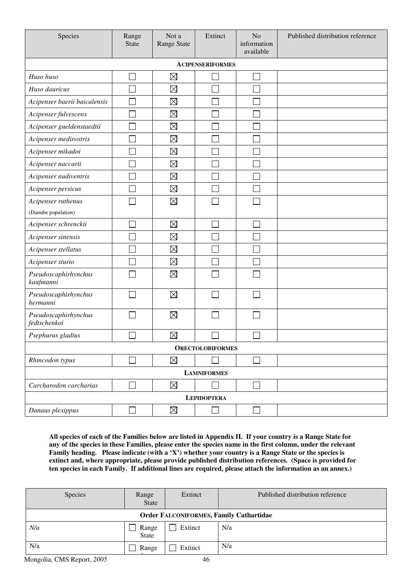| Species                              | Range<br><b>State</b> | Not a<br><b>Range State</b> | Extinct                 | N <sub>o</sub><br>information<br>available | Published distribution reference |
|--------------------------------------|-----------------------|-----------------------------|-------------------------|--------------------------------------------|----------------------------------|
|                                      |                       |                             | <b>ACIPENSERIFORMES</b> |                                            |                                  |
| Huso huso                            |                       | $\boxtimes$                 |                         | ٦                                          |                                  |
| Huso dauricus                        |                       | $\boxtimes$                 | Ξ                       |                                            |                                  |
| Acipenser baerii baicalensis         |                       | $\boxtimes$                 |                         |                                            |                                  |
| Acipenser fulvescens                 |                       | $\boxtimes$                 |                         |                                            |                                  |
| Acipenser gueldenstaedtii            |                       | $\boxtimes$                 |                         |                                            |                                  |
| Acipenser medirostris                |                       | $\boxtimes$                 |                         |                                            |                                  |
| Acipenser mikadoi                    |                       | $\boxtimes$                 |                         |                                            |                                  |
| Acipenser naccarii                   |                       | $\boxtimes$                 |                         |                                            |                                  |
| Acipenser nudiventris                |                       | $\boxtimes$                 | Ξ                       |                                            |                                  |
| Acipenser persicus                   |                       | $\boxtimes$                 |                         |                                            |                                  |
| Acipenser ruthenus                   |                       | $\boxtimes$                 |                         |                                            |                                  |
| (Danube population)                  |                       |                             |                         |                                            |                                  |
| Acipenser schrenckii                 |                       | $\boxtimes$                 |                         |                                            |                                  |
| Acipenser sinensis                   |                       | $\boxtimes$                 |                         |                                            |                                  |
| Acipenser stellatus                  |                       | $\boxtimes$                 |                         |                                            |                                  |
| Acipenser sturio                     |                       | $\boxtimes$                 |                         |                                            |                                  |
| Pseudoscaphirhynchus<br>kaufmanni    |                       | $\boxtimes$                 |                         |                                            |                                  |
| Pseudoscaphirhynchus<br>hermanni     |                       | $\boxtimes$                 |                         |                                            |                                  |
| Pseudoscaphirhynchus<br>fedtschenkoi |                       | $\boxtimes$                 |                         |                                            |                                  |
| Psephurus gladius                    |                       | $\boxtimes$                 |                         |                                            |                                  |
| <b>ORECTOLOBIFORMES</b>              |                       |                             |                         |                                            |                                  |
| Rhincodon typus                      |                       | $\boxtimes$                 |                         | $\Box$                                     |                                  |
| <b>LAMNIFORMES</b>                   |                       |                             |                         |                                            |                                  |
| Carcharodon carcharias               |                       | $\boxtimes$                 |                         | $\Box$                                     |                                  |
| <b>LEPIDOPTERA</b>                   |                       |                             |                         |                                            |                                  |
| Danaus plexippus                     |                       | $\boxtimes$                 |                         |                                            |                                  |

**All species of each of the Families below are listed in Appendix II. If your country is a Range State for any of the species in these Families, please enter the species name in the first column, under the relevant Family heading. Please indicate (with a 'X') whether your country is a Range State or the species is** extinct and, where appropriate, please provide published distribution references. (Space is provided for **ten species in each Family. If additional lines are required, please attach the information as an annex.)** 

| Species                                        | Range<br><b>State</b> | Extinct         | Published distribution reference |  |
|------------------------------------------------|-----------------------|-----------------|----------------------------------|--|
| <b>Order FALCONIFORMES, Family Cathartidae</b> |                       |                 |                                  |  |
| N/a                                            | Range<br>State        | Extinct         | N/a                              |  |
| N/a                                            | Range                 | Extinct         | N/a                              |  |
| Mongolia CMC Deport 2005                       |                       | $\overline{46}$ |                                  |  |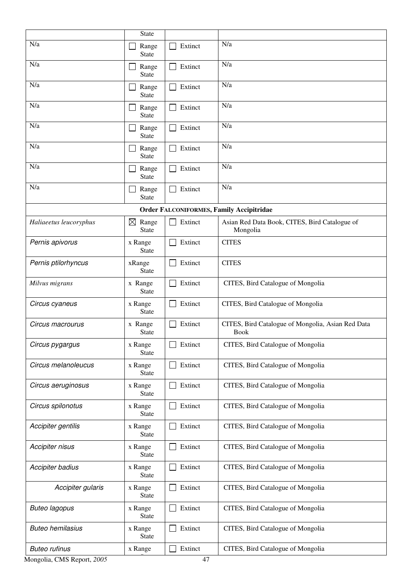|                          | <b>State</b>                         |         |                                                                  |
|--------------------------|--------------------------------------|---------|------------------------------------------------------------------|
| N/a                      | Range                                | Extinct | N/a                                                              |
| N/a                      | <b>State</b>                         |         | N/a                                                              |
|                          | Range<br><b>State</b>                | Extinct |                                                                  |
| N/a                      | Range<br><b>State</b>                | Extinct | N/a                                                              |
| N/a                      | Range<br><b>State</b>                | Extinct | N/a                                                              |
| N/a                      | Range<br><b>State</b>                | Extinct | N/a                                                              |
| N/a                      | Range<br><b>State</b>                | Extinct | N/a                                                              |
| N/a                      | Range<br><b>State</b>                | Extinct | N/a                                                              |
| N/a                      | Range<br><b>State</b>                | Extinct | N/a                                                              |
|                          |                                      |         | <b>Order FALCONIFORMES, Family Accipitridae</b>                  |
| Haliaeetus leucoryphus   | $\boxtimes$<br>Range<br><b>State</b> | Extinct | Asian Red Data Book, CITES, Bird Catalogue of<br>Mongolia        |
| Pernis apivorus          | x Range<br><b>State</b>              | Extinct | <b>CITES</b>                                                     |
| Pernis ptilorhyncus      | xRange<br><b>State</b>               | Extinct | <b>CITES</b>                                                     |
| Milvus migrans           | x Range<br><b>State</b>              | Extinct | CITES, Bird Catalogue of Mongolia                                |
| Circus cyaneus           | x Range<br><b>State</b>              | Extinct | CITES, Bird Catalogue of Mongolia                                |
| Circus macrourus         | x Range<br><b>State</b>              | Extinct | CITES, Bird Catalogue of Mongolia, Asian Red Data<br><b>Book</b> |
| Circus pygargus          | x Range<br><b>State</b>              | Extinct | CITES, Bird Catalogue of Mongolia                                |
| Circus melanoleucus      | x Range<br><b>State</b>              | Extinct | CITES, Bird Catalogue of Mongolia                                |
| Circus aeruginosus       | x Range<br><b>State</b>              | Extinct | CITES, Bird Catalogue of Mongolia                                |
| Circus spilonotus        | x Range<br><b>State</b>              | Extinct | CITES, Bird Catalogue of Mongolia                                |
| Accipiter gentilis       | x Range<br><b>State</b>              | Extinct | CITES, Bird Catalogue of Mongolia                                |
| Accipiter nisus          | x Range<br><b>State</b>              | Extinct | CITES, Bird Catalogue of Mongolia                                |
| Accipiter badius         | x Range<br><b>State</b>              | Extinct | CITES, Bird Catalogue of Mongolia                                |
| Accipiter gularis        | x Range<br><b>State</b>              | Extinct | CITES, Bird Catalogue of Mongolia                                |
| <b>Buteo lagopus</b>     | x Range<br><b>State</b>              | Extinct | CITES, Bird Catalogue of Mongolia                                |
| <b>Buteo hemilasius</b>  | x Range<br><b>State</b>              | Extinct | CITES, Bird Catalogue of Mongolia                                |
| <b>Buteo rufinus</b>     | x Range                              | Extinct | CITES, Bird Catalogue of Mongolia                                |
| Mongolia CMS Report 2005 |                                      | 47      |                                                                  |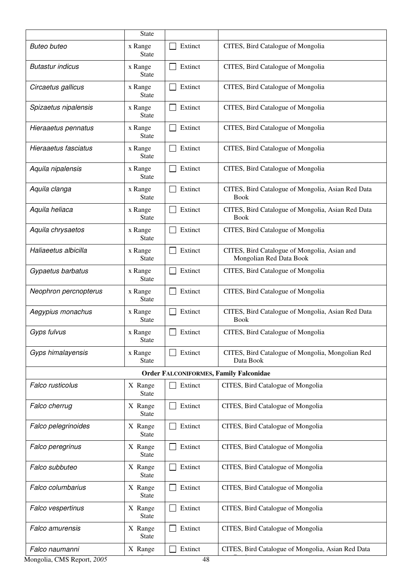|                                               | <b>State</b>            |               |                                                                         |  |  |
|-----------------------------------------------|-------------------------|---------------|-------------------------------------------------------------------------|--|--|
| <b>Buteo buteo</b>                            | x Range<br><b>State</b> | Extinct       | CITES, Bird Catalogue of Mongolia                                       |  |  |
| <b>Butastur indicus</b>                       | x Range<br><b>State</b> | Extinct<br>L  | CITES, Bird Catalogue of Mongolia                                       |  |  |
| Circaetus gallicus                            | x Range<br><b>State</b> | Extinct       | CITES, Bird Catalogue of Mongolia                                       |  |  |
| Spizaetus nipalensis                          | x Range<br><b>State</b> | Extinct       | CITES, Bird Catalogue of Mongolia                                       |  |  |
| Hieraaetus pennatus                           | x Range<br><b>State</b> | Extinct       | CITES, Bird Catalogue of Mongolia                                       |  |  |
| Hieraaetus fasciatus                          | x Range<br><b>State</b> | Extinct       | CITES, Bird Catalogue of Mongolia                                       |  |  |
| Aquila nipalensis                             | x Range<br><b>State</b> | Extinct       | CITES, Bird Catalogue of Mongolia                                       |  |  |
| Aquila clanga                                 | x Range<br><b>State</b> | Extinct       | CITES, Bird Catalogue of Mongolia, Asian Red Data<br><b>Book</b>        |  |  |
| Aquila heliaca                                | x Range<br><b>State</b> | Extinct       | CITES, Bird Catalogue of Mongolia, Asian Red Data<br><b>Book</b>        |  |  |
| Aquila chrysaetos                             | x Range<br><b>State</b> | Extinct       | CITES, Bird Catalogue of Mongolia                                       |  |  |
| Haliaeetus albicilla                          | x Range<br><b>State</b> | Extinct       | CITES, Bird Catalogue of Mongolia, Asian and<br>Mongolian Red Data Book |  |  |
| Gypaetus barbatus                             | x Range<br><b>State</b> | Extinct       | CITES, Bird Catalogue of Mongolia                                       |  |  |
| Neophron percnopterus                         | x Range<br>State        | Extinct       | CITES, Bird Catalogue of Mongolia                                       |  |  |
| Aegypius monachus                             | x Range<br><b>State</b> | Extinct<br>L  | CITES, Bird Catalogue of Mongolia, Asian Red Data<br><b>Book</b>        |  |  |
| Gyps fulvus                                   | x Range<br><b>State</b> | Extinct       | CITES, Bird Catalogue of Mongolia                                       |  |  |
| Gyps himalayensis                             | x Range<br><b>State</b> | Extinct       | CITES, Bird Catalogue of Mongolia, Mongolian Red<br>Data Book           |  |  |
| <b>Order FALCONIFORMES, Family Falconidae</b> |                         |               |                                                                         |  |  |
| Falco rusticolus                              | X Range<br><b>State</b> | Extinct       | CITES, Bird Catalogue of Mongolia                                       |  |  |
| Falco cherrug                                 | X Range<br><b>State</b> | Extinct       | CITES, Bird Catalogue of Mongolia                                       |  |  |
| Falco pelegrinoides                           | X Range<br><b>State</b> | Extinct       | CITES, Bird Catalogue of Mongolia                                       |  |  |
| Falco peregrinus                              | X Range<br><b>State</b> | Extinct       | CITES, Bird Catalogue of Mongolia                                       |  |  |
| Falco subbuteo                                | X Range<br><b>State</b> | Extinct       | CITES, Bird Catalogue of Mongolia                                       |  |  |
| Falco columbarius                             | X Range<br><b>State</b> | Extinct       | CITES, Bird Catalogue of Mongolia                                       |  |  |
| Falco vespertinus                             | X Range<br><b>State</b> | Extinct       | CITES, Bird Catalogue of Mongolia                                       |  |  |
| <b>Falco amurensis</b>                        | X Range<br><b>State</b> | Extinct       | CITES, Bird Catalogue of Mongolia                                       |  |  |
| Falco naumanni<br>Mongolia CMS Report 2005    | X Range                 | Extinct<br>48 | CITES, Bird Catalogue of Mongolia, Asian Red Data                       |  |  |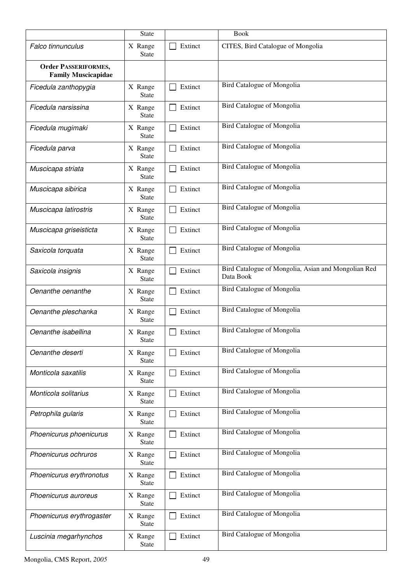|                                                           | <b>State</b>            |                         | <b>Book</b>                                                      |
|-----------------------------------------------------------|-------------------------|-------------------------|------------------------------------------------------------------|
| Falco tinnunculus                                         | X Range<br>State        | Extinct                 | CITES, Bird Catalogue of Mongolia                                |
| <b>Order PASSERIFORMES,</b><br><b>Family Muscicapidae</b> |                         |                         |                                                                  |
| Ficedula zanthopygia                                      | X Range<br>State        | Extinct                 | Bird Catalogue of Mongolia                                       |
| Ficedula narsissina                                       | X Range<br><b>State</b> | Extinct<br>$\mathsf{L}$ | Bird Catalogue of Mongolia                                       |
| Ficedula mugimaki                                         | X Range<br>State        | Extinct                 | Bird Catalogue of Mongolia                                       |
| Ficedula parva                                            | X Range<br><b>State</b> | Extinct<br>l I          | Bird Catalogue of Mongolia                                       |
| Muscicapa striata                                         | X Range<br><b>State</b> | Extinct                 | Bird Catalogue of Mongolia                                       |
| Muscicapa sibirica                                        | X Range<br>State        | Extinct                 | Bird Catalogue of Mongolia                                       |
| Muscicapa latirostris                                     | X Range<br><b>State</b> | Extinct                 | <b>Bird Catalogue of Mongolia</b>                                |
| Muscicapa griseisticta                                    | X Range<br><b>State</b> | Extinct                 | Bird Catalogue of Mongolia                                       |
| Saxicola torquata                                         | X Range<br><b>State</b> | Extinct                 | Bird Catalogue of Mongolia                                       |
| Saxicola insignis                                         | X Range<br><b>State</b> | Extinct                 | Bird Catalogue of Mongolia, Asian and Mongolian Red<br>Data Book |
| Oenanthe oenanthe                                         | X Range<br><b>State</b> | Extinct                 | Bird Catalogue of Mongolia                                       |
| Oenanthe pleschanka                                       | X Range<br><b>State</b> | Extinct                 | Bird Catalogue of Mongolia                                       |
| Oenanthe isabellina                                       | X Range<br>State        | Extinct                 | Bird Catalogue of Mongolia                                       |
| Oenanthe deserti                                          | X Range<br><b>State</b> | Extinct                 | Bird Catalogue of Mongolia                                       |
| Monticola saxatilis                                       | X Range<br><b>State</b> | Extinct                 | Bird Catalogue of Mongolia                                       |
| Monticola solitarius                                      | X Range<br><b>State</b> | Extinct                 | Bird Catalogue of Mongolia                                       |
| Petrophila gularis                                        | X Range<br><b>State</b> | Extinct                 | Bird Catalogue of Mongolia                                       |
| Phoenicurus phoenicurus                                   | X Range<br><b>State</b> | Extinct                 | Bird Catalogue of Mongolia                                       |
| Phoenicurus ochruros                                      | X Range<br><b>State</b> | Extinct                 | Bird Catalogue of Mongolia                                       |
| Phoenicurus erythronotus                                  | X Range<br><b>State</b> | Extinct                 | Bird Catalogue of Mongolia                                       |
| Phoenicurus auroreus                                      | X Range<br><b>State</b> | Extinct                 | Bird Catalogue of Mongolia                                       |
| Phoenicurus erythrogaster                                 | X Range<br><b>State</b> | Extinct                 | Bird Catalogue of Mongolia                                       |
| Luscinia megarhynchos                                     | X Range<br><b>State</b> | Extinct                 | Bird Catalogue of Mongolia                                       |